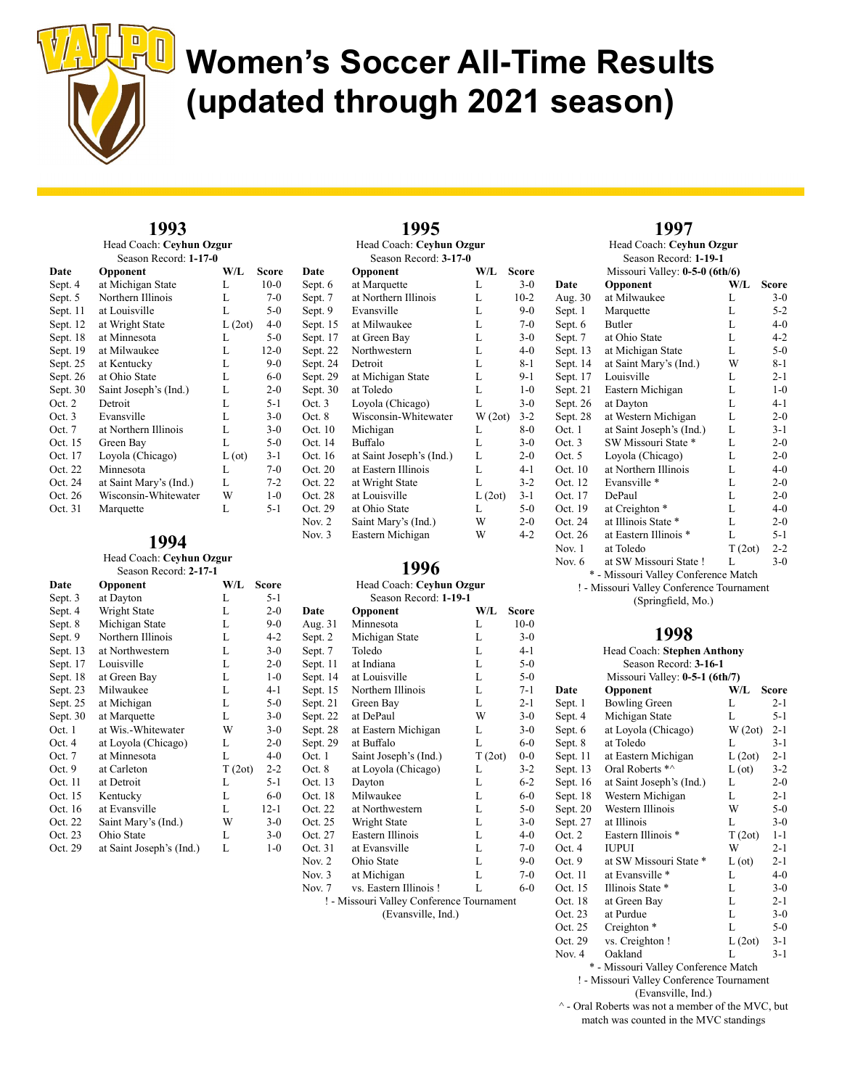

## 1993

Head Coach: Ceyhun Ozgur Season Record

| Date     | Opponent               | W/L           | Score   |  |
|----------|------------------------|---------------|---------|--|
| Sept. 4  | at Michigan State      | L             | $10-0$  |  |
| Sept. 5  | Northern Illinois      | L             | $7-0$   |  |
| Sept. 11 | at Louisville          | L             | $5-0$   |  |
| Sept. 12 | at Wright State        | L(2ot)        | $4 - 0$ |  |
| Sept. 18 | at Minnesota           | L             | $5-0$   |  |
| Sept. 19 | at Milwaukee           | L             | $12-0$  |  |
| Sept. 25 | at Kentucky            | L             | $9-0$   |  |
| Sept. 26 | at Ohio State          | L             | $6 - 0$ |  |
| Sept. 30 | Saint Joseph's (Ind.)  | L             | $2 - 0$ |  |
| Oct. 2   | Detroit                | L             | $5-1$   |  |
| Oct.3    | Evansville             | L             | $3-0$   |  |
| Oct. 7   | at Northern Illinois   | L             | $3-0$   |  |
| Oct. 15  | Green Bay              | L             | $5-0$   |  |
| Oct. 17  | Loyola (Chicago)       | $L(\sigma t)$ | $3-1$   |  |
| Oct. 22  | Minnesota              | L             | $7-0$   |  |
| Oct. 24  | at Saint Mary's (Ind.) | L             | $7-2$   |  |
| Oct. 26  | Wisconsin-Whitewater   | W             | $1 - 0$ |  |
| Oct. 31  | Marquette              | L             | $5-1$   |  |

### 1994

#### Head Coach: Ceyhun Ozgur Season Record: 2-17-1

| Date     | Opponent                 | W/L    | <b>Score</b> |
|----------|--------------------------|--------|--------------|
| Sept. 3  | at Dayton                | L      | $5-1$        |
| Sept. 4  | Wright State             | L      | $2 - 0$      |
| Sept. 8  | Michigan State           | L      | $9-0$        |
| Sept. 9  | Northern Illinois        | L      | $4-2$        |
| Sept. 13 | at Northwestern          | L      | $3-0$        |
| Sept. 17 | Louisville               | L      | $2 - 0$      |
| Sept. 18 | at Green Bay             | L      | $1 - 0$      |
| Sept. 23 | Milwaukee                | L      | $4-1$        |
| Sept. 25 | at Michigan              | L      | $5-0$        |
| Sept. 30 | at Marquette             | L      | $3-0$        |
| Oct. 1   | at Wis.-Whitewater       | W      | $3-0$        |
| Oct. 4   | at Loyola (Chicago)      | L      | $2 - 0$      |
| Oct. 7   | at Minnesota             | L      | $4 - 0$      |
| Oct. 9   | at Carleton              | T(2ot) | $2 - 2$      |
| Oct. 11  | at Detroit               | L      | $5-1$        |
| Oct. 15  | Kentucky                 | L      | $6 - 0$      |
| Oct. 16  | at Evansville            | L      | $12 - 1$     |
| Oct. 22  | Saint Mary's (Ind.)      | W      | $3-0$        |
| Oct. 23  | Ohio State               | L      | $3-0$        |
| Oct. 29  | at Saint Joseph's (Ind.) | L      | $1-0$        |

|               | 1995                     |        |         |
|---------------|--------------------------|--------|---------|
|               | Head Coach: Ceyhun Ozgur |        |         |
|               | Season Record: 3-17-0    |        |         |
| Date          | Opponent                 | W/L    | Score   |
| Sept. 6       | at Marquette             | L      | $3-0$   |
| Sept. 7       | at Northern Illinois     | L      | $10-2$  |
| Sept. 9       | Evansville               | L      | $9-0$   |
| Sept. 15      | at Milwaukee             | L      | $7 - 0$ |
| Sept. 17      | at Green Bay             | L      | $3-0$   |
| Sept. 22      | Northwestern             | L      | 4-0     |
| Sept. 24      | Detroit                  | L      | 8-1     |
| Sept. 29      | at Michigan State        | L      | $9-1$   |
| Sept. 30      | at Toledo                | L      | $1-0$   |
| Oct. 3        | Loyola (Chicago)         | L      | $3-0$   |
| Oct. 8        | Wisconsin-Whitewater     | W(2ot) | $3-2$   |
| Oct. 10       | Michigan                 | L      | 8-0     |
| Oct. 14       | Buffalo                  | L      | $3-0$   |
| Oct. 16       | at Saint Joseph's (Ind.) | L      | $2 - 0$ |
| Oct. 20       | at Eastern Illinois      | L      | 4-1     |
| Oct. 22       | at Wright State          | L      | $3-2$   |
| Oct. 28       | at Louisville            | L(2ot) | $3-1$   |
| Oct. 29       | at Ohio State            | L      | $5-0$   |
| <b>Nov. 2</b> | Saint Mary's (Ind.)      | W      | $2 - 0$ |
| Nov. 3        | Eastern Michigan         | W      | 4-2     |

## 1996

#### Head Coach: Ceyhun Ozgur Season Record: 1-19-1

| Date          | Opponent                                  | W/L    | Score   |
|---------------|-------------------------------------------|--------|---------|
| Aug. 31       | Minnesota                                 | L      | $10-0$  |
| Sept. 2       | Michigan State                            | L      | $3-0$   |
| Sept. 7       | Toledo                                    | L      | $4 - 1$ |
| Sept. 11      | at Indiana                                | L      | $5-0$   |
| Sept. 14      | at Louisville                             | L      | $5-0$   |
| Sept. 15      | Northern Illinois                         | L      | $7-1$   |
| Sept. 21      | Green Bay                                 | L      | $2 - 1$ |
| Sept. 22      | at DePaul                                 | W      | $3-0$   |
| Sept. 28      | at Eastern Michigan                       | L      | $3-0$   |
| Sept. 29      | at Buffalo                                | L      | $6-0$   |
| Oct. 1        | Saint Joseph's (Ind.)                     | T(2ot) | $0-0$   |
| Oct. 8        | at Loyola (Chicago)                       | L      | $3-2$   |
| Oct. 13       | Dayton                                    | L      | $6 - 2$ |
| Oct. 18       | Milwaukee                                 | L      | $6-0$   |
| Oct. 22       | at Northwestern                           | L      | $5-0$   |
| Oct. 25       | Wright State                              | L      | $3-0$   |
| Oct. 27       | Eastern Illinois                          | L      | $4 - 0$ |
| Oct. 31       | at Evansville                             | L      | $7-0$   |
| <b>Nov. 2</b> | Ohio State                                | L      | $9-0$   |
| Nov. 3        | at Michigan                               | L      | $7-0$   |
| Nov. 7        | vs. Eastern Illinois!                     | L      | $6 - 0$ |
|               | ! - Missouri Valley Conference Tournament |        |         |
|               |                                           |        |         |

(Evansville, Ind.)

### 1997

Head Coach: Ceyhun Ozgur Season Record: 1-19-1 Missouri Valley: 0-5-0 (6th/6) Date Opponent W/L Score Aug. 30 at Milwaukee L 3-0 Sept. 1 Marquette L 5-2<br>Sept. 6 Butler L 4-0 Sept. 6 Butler L Sept. 7 at Ohio State L 4-2 Sept. 13 at Michigan State L 5-0 Sept. 14 at Saint Mary's (Ind.) W 8-1 Sept. 17 Louisville L 2-1 Sept. 21 Eastern Michigan L 1-0<br>Sept. 26 at Dayton L 4-1 at Dayton L 4-1 Sept. 28 at Western Michigan L 2-0 Oct. 1 at Saint Joseph's (Ind.) L 3-1 Oct. 3 SW Missouri State \* L 2-0 Oct. 5 Loyola (Chicago) L 2-0 Oct. 10 at Northern Illinois L 4-0<br>Oct. 12 Evansville \* L 2-0 Evansville \* L 2-0 Oct. 17 DePaul L 2-0 Oct. 19 at Creighton \* L 4-0 Oct. 24 at Illinois State \* L 2-0<br>Oct. 26 at Eastern Illinois \* L 5-1 at Eastern Illinois \* L Nov. 1 at Toledo  $T (2ot) 2-2$ Nov. 6 at SW Missouri State ! L 3-0 \* - Missouri Valley Conference Match

! - Missouri Valley Conference Tournament (Springfield, Mo.)

### 1008

|            | 1770                             |               |              |
|------------|----------------------------------|---------------|--------------|
|            | Head Coach: Stephen Anthony      |               |              |
|            | Season Record: 3-16-1            |               |              |
|            | Missouri Valley: 0-5-1 (6th/7)   |               |              |
| Date       | Opponent                         | W/L           | <b>Score</b> |
| Sept. 1    | <b>Bowling Green</b>             | L             | $2 - 1$      |
| Sept. 4    | Michigan State                   | L             | $5 - 1$      |
| Sept. 6    | at Loyola (Chicago)              | W(2ot)        | $2 - 1$      |
| Sept. 8    | at Toledo                        | L             | $3-1$        |
| Sept. 11   | at Eastern Michigan              | L(2ot)        | $2 - 1$      |
| Sept. 13   | Oral Roberts *^                  | $L(\sigma t)$ | $3-2$        |
| Sept. $16$ | at Saint Joseph's (Ind.)         | L             | $2 - 0$      |
| Sept. 18   | Western Michigan                 | L             | $2 - 1$      |
| Sept. $20$ | Western Illinois                 | W             | $5-0$        |
| Sept. 27   | at Illinois                      | L             | $3-0$        |
| Oct. 2     | Eastern Illinois *               | T(2ot)        | $1 - 1$      |
| Oct. 4     | <b>IUPUI</b>                     | W             | $2 - 1$      |
| Oct. 9     | at SW Missouri State *           | $L(\sigma t)$ | $2 - 1$      |
| Oct. 11    | at Evansville *                  | L             | $4 - 0$      |
| Oct. 15    | Illinois State *                 | L             | $3-0$        |
| Oct. 18    | at Green Bay                     | L             | $2 - 1$      |
| Oct. 23    | at Purdue                        | L             | $3-0$        |
| Oct. 25    | Creighton <sup>*</sup>           | L             | $5-0$        |
| Oct. 29    | vs. Creighton !                  | L(2ot)        | 3-1          |
| Nov. 4     | Oakland                          | L             | $3-1$        |
| ×          | Missoury Valley Conformers Motel |               |              |

- Missouri Valley Conference Match

! - Missouri Valley Conference Tournament (Evansville, Ind.)

 $^{\wedge}$  - Oral Roberts was not a member of the MVC, but match was counted in the MVC standings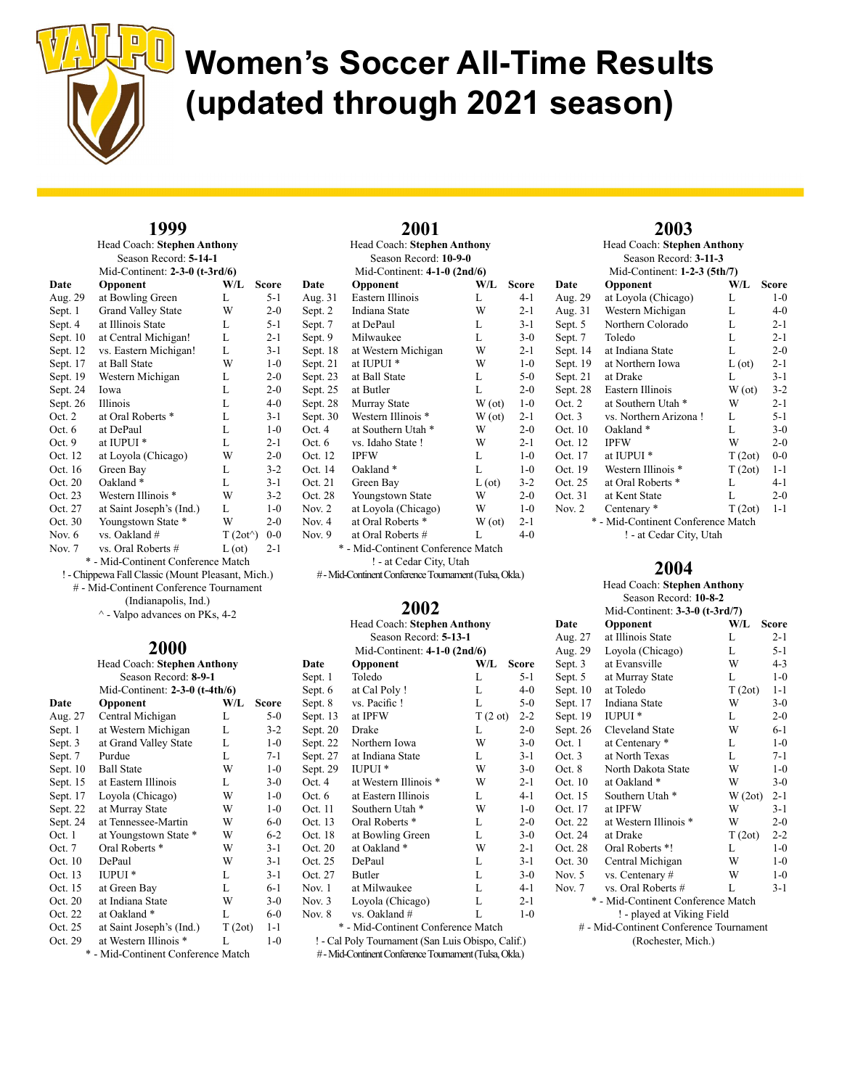

#### 1999 Head Coach: Stephen Anthony

| Season Record: 5-14-1              |                                |                   |         |  |
|------------------------------------|--------------------------------|-------------------|---------|--|
|                                    | Mid-Continent: 2-3-0 (t-3rd/6) |                   |         |  |
| Date                               | Opponent                       | W/L               | Score   |  |
| Aug. 29                            | at Bowling Green               | L                 | $5-1$   |  |
| Sept. 1                            | <b>Grand Valley State</b>      | W                 | $2 - 0$ |  |
| Sept. 4                            | at Illinois State              | L                 | $5 - 1$ |  |
| Sept. $10$                         | at Central Michigan!           | L                 | $2 - 1$ |  |
| Sept. 12                           | vs. Eastern Michigan!          | L                 | $3-1$   |  |
| Sept. 17                           | at Ball State                  | W                 | $1 - 0$ |  |
| Sept. 19                           | Western Michigan               | L                 | $2 - 0$ |  |
| Sept. 24                           | Iowa                           | L                 | $2 - 0$ |  |
| Sept. 26                           | <b>Illinois</b>                | L                 | $4 - 0$ |  |
| Oct. 2                             | at Oral Roberts *              | L                 | $3-1$   |  |
| Oct. 6                             | at DePaul                      | L                 | $1 - 0$ |  |
| Oct. $9$                           | at IUPUI <sup>*</sup>          | L                 | $2 - 1$ |  |
| Oct. 12                            | at Loyola (Chicago)            | W                 | $2 - 0$ |  |
| Oct. 16                            | Green Bay                      | L                 | $3 - 2$ |  |
| Oct. 20                            | Oakland <sup>*</sup>           | L                 | $3 - 1$ |  |
| Oct. 23                            | Western Illinois *             | W                 | $3-2$   |  |
| Oct. 27                            | at Saint Joseph's (Ind.)       | L                 | $1-0$   |  |
| Oct. 30                            | Youngstown State *             | W                 | $2 - 0$ |  |
| Nov. $6$                           | vs. Oakland #                  | $T(2ot^{\wedge})$ | $0-0$   |  |
| Nov. 7                             | vs. Oral Roberts #             | L (ot)            | $2 - 1$ |  |
| * - Mid-Continent Conference Match |                                |                   |         |  |

! - Chippewa Fall Classic (Mount Pleasant, Mich.)

# - Mid-Continent Conference Tournament

(Indianapolis, Ind.)

 $^\wedge$  - Valpo advances on PKs, 4-2

#### 2000 Head Coach: Stephen Anthony

| пеад Соасп: эцерпен Аниюну |                                            |        |              |
|----------------------------|--------------------------------------------|--------|--------------|
| Season Record: 8-9-1       |                                            |        |              |
|                            | Mid-Continent: $2-3-0$ (t-4th/6)           |        |              |
| Date                       | Opponent                                   | W/L    | <b>Score</b> |
| Aug. 27                    | Central Michigan                           | L      | $5-0$        |
| Sept. 1                    | at Western Michigan                        | L      | $3-2$        |
| Sept. 3                    | at Grand Valley State                      | L      | $1 - 0$      |
| Sept. 7                    | Purdue                                     | L      | $7 - 1$      |
| Sept. $10$                 | <b>Ball State</b>                          | W      | $1 - 0$      |
| Sept. 15                   | at Eastern Illinois                        | L      | $3-0$        |
| Sept. 17                   | Loyola (Chicago)                           | W      | $1-0$        |
| Sept. 22                   | at Murray State                            | W      | $1 - 0$      |
| Sept. 24                   | at Tennessee-Martin                        | W      | $6-0$        |
| Oct. 1                     | at Youngstown State *                      | W      | $6-2$        |
| Oct. $7$                   | Oral Roberts <sup>*</sup>                  | W      | $3 - 1$      |
| Oct. 10                    | DePaul                                     | W      | $3-1$        |
| Oct. 13                    | <b>IUPUI</b> *                             | L      | $3 - 1$      |
| Oct. 15                    | at Green Bay                               | L      | $6-1$        |
| Oct. 20                    | at Indiana State                           | W      | $3-0$        |
| Oct. 22                    | at Oakland *                               | L      | $6-0$        |
| Oct. 25                    | at Saint Joseph's (Ind.)                   | T(2ot) | $1 - 1$      |
| Oct. 29                    | at Western Illinois *                      | L      | $1 - 0$      |
| ÷                          | $M: 1, C_1, \ldots, C_1, C_2, \ldots, C_n$ |        |              |

| Head Coach: Stephen Anthony |                                    |               |              |  |  |
|-----------------------------|------------------------------------|---------------|--------------|--|--|
| Season Record: 10-9-0       |                                    |               |              |  |  |
|                             | Mid-Continent: $4-1-0$ (2nd/6)     |               |              |  |  |
| Date                        | Opponent                           | W/L           | <b>Score</b> |  |  |
| Aug. 31                     | Eastern Illinois                   | L             | 4-1          |  |  |
| Sept. 2                     | Indiana State                      | W             | $2 - 1$      |  |  |
| Sept. 7                     | at DePaul                          | L             | $3-1$        |  |  |
| Sept. 9                     | Milwaukee                          | L             | $3-0$        |  |  |
| Sept. 18                    | at Western Michigan                | W             | $2 - 1$      |  |  |
| Sept. 21                    | at IUPUI <sup>*</sup>              | W             | $1-0$        |  |  |
| Sept. 23                    | at Ball State                      | L             | $5-0$        |  |  |
| Sept. 25                    | at Butler                          | L             | $2 - 0$      |  |  |
| Sept. 28                    | Murray State                       | W(ot)         | $1-0$        |  |  |
| Sept. 30                    | Western Illinois *                 | W(ot)         | $2 - 1$      |  |  |
| Oct. 4                      | at Southern Utah <sup>*</sup>      | W             | $2 - 0$      |  |  |
| Oct. 6                      | vs. Idaho State!                   | W             | $2 - 1$      |  |  |
| Oct. 12                     | <b>IPFW</b>                        | L             | $1-0$        |  |  |
| Oct. 14                     | Oakland*                           | L             | $1-0$        |  |  |
| Oct. 21                     | Green Bay                          | $L(\sigma t)$ | $3 - 2$      |  |  |
| Oct. 28                     | Youngstown State                   | W             | $2 - 0$      |  |  |
| Nov. $2$                    | at Loyola (Chicago)                | W             | $1-0$        |  |  |
| Nov. 4                      | at Oral Roberts *                  | W(ot)         | $2 - 1$      |  |  |
| Nov. 9                      | at Oral Roberts #                  | L             | $4 - 0$      |  |  |
|                             | * - Mid-Continent Conference Match |               |              |  |  |

2001

! - at Cedar City, Utah

# - Mid-Continent Conference Tournament (Tulsa, Okla.)

### 2002

| Head Coach: Stephen Anthony                            |                                                   |         |         |  |
|--------------------------------------------------------|---------------------------------------------------|---------|---------|--|
| Season Record: 5-13-1                                  |                                                   |         |         |  |
|                                                        | Mid-Continent: $4-1-0$ (2nd/6)                    |         |         |  |
| Date                                                   | Opponent                                          | W/L     | Score   |  |
| Sept. 1                                                | Toledo                                            | L       | $5 - 1$ |  |
| Sept. 6                                                | at Cal Poly!                                      | L       | $4 - 0$ |  |
| Sept. 8                                                | vs. Pacific !                                     | L       | $5-0$   |  |
| Sept. 13                                               | at IPFW                                           | T(2 ot) | $2 - 2$ |  |
| Sept. 20                                               | Drake                                             | L       | $2 - 0$ |  |
| Sept. 22                                               | Northern Iowa                                     | W       | $3-0$   |  |
| Sept. 27                                               | at Indiana State                                  | L       | $3-1$   |  |
| Sept. 29                                               | <b>IUPUI*</b>                                     | W       | $3-0$   |  |
| Oct. 4                                                 | at Western Illinois *                             | W       | $2 - 1$ |  |
| Oct. 6                                                 | at Eastern Illinois                               | L       | $4-1$   |  |
| Oct. 11                                                | Southern Utah <sup>*</sup>                        | W       | $1-0$   |  |
| Oct. 13                                                | Oral Roberts <sup>*</sup>                         | L       | $2 - 0$ |  |
| Oct. 18                                                | at Bowling Green                                  | L       | $3-0$   |  |
| Oct. 20                                                | at Oakland *                                      | W       | $2 - 1$ |  |
| Oct. 25                                                | DePaul                                            | L       | $3-1$   |  |
| Oct. 27                                                | <b>Butler</b>                                     | L       | $3-0$   |  |
| Nov. 1                                                 | at Milwaukee                                      | L       | $4-1$   |  |
| Nov. 3                                                 | Loyola (Chicago)                                  | L       | $2 - 1$ |  |
| Nov. 8                                                 | vs. Oakland #                                     | L       | $1-0$   |  |
| * - Mid-Continent Conference Match                     |                                                   |         |         |  |
|                                                        | ! - Cal Poly Tournament (San Luis Obispo, Calif.) |         |         |  |
| # - Mid-Continent Conference Tournament (Tulsa, Okla.) |                                                   |         |         |  |

2003 Head Coach: Stephen Anthony Season Record: 3-11-3 Mid-Continent: 1-2-3 (5th/7)

| Date     | $1000$ Comment. $1 - 2 - 3$ (3 cm/ $\frac{1}{2}$ )<br>Opponent | W/L           | Score   |
|----------|----------------------------------------------------------------|---------------|---------|
| Aug. 29  | at Loyola (Chicago)                                            | L             | $1 - 0$ |
| Aug. 31  | Western Michigan                                               | L             | $4 - 0$ |
| Sept. 5  | Northern Colorado                                              | L             | $2 - 1$ |
| Sept. 7  | Toledo                                                         | L             | $2 - 1$ |
| Sept. 14 | at Indiana State                                               | L             | $2 - 0$ |
| Sept. 19 | at Northern Iowa                                               | $L(\sigma t)$ | $2 - 1$ |
| Sept. 21 | at Drake                                                       | L             | $3-1$   |
| Sept. 28 | Eastern Illinois                                               | W(ot)         | $3-2$   |
| Oct. 2   | at Southern Utah *                                             | W             | $2 - 1$ |
| Oct. 3   | vs. Northern Arizona!                                          | L             | $5 - 1$ |
| Oct. 10  | Oakland*                                                       | L             | $3-0$   |
| Oct. 12  | <b>IPFW</b>                                                    | W             | $2 - 0$ |
| Oct. 17  | at IUPUI <sup>*</sup>                                          | T(2ot)        | $0-0$   |
| Oct. 19  | Western Illinois *                                             | T(2ot)        | $1 - 1$ |
| Oct. 25  | at Oral Roberts *                                              | L             | 4-1     |
| Oct. 31  | at Kent State                                                  | L             | $2 - 0$ |
| Nov. 2   | Centenary *                                                    | T(2ot)        | $1 - 1$ |
|          | * - Mid-Continent Conference Match                             |               |         |

! - at Cedar City, Utah

### 2004

#### Head Coach: Stephen Anthony Season Record: 10-8-2 Mid-Continent: 3-3-0 (t-3rd/7) Date Opponent W/L Score<br>Aug 27 at Illinois State I 2-1 at Illinois State L 2-1

| Loyola (Chicago)                        | L      | $5 - 1$                            |  |  |
|-----------------------------------------|--------|------------------------------------|--|--|
| at Evansville                           | W      | $4 - 3$                            |  |  |
| at Murray State                         | L      | $1-0$                              |  |  |
| at Toledo                               | T(2ot) | $1 - 1$                            |  |  |
| Indiana State                           | W      | $3-0$                              |  |  |
| <b>IUPUI</b> <sup>*</sup>               | L.     | $2 - 0$                            |  |  |
| <b>Cleveland State</b>                  | W      | $6 - 1$                            |  |  |
| at Centenary *                          | L      | $1-0$                              |  |  |
| at North Texas                          | L      | $7-1$                              |  |  |
| North Dakota State                      | W      | $1-0$                              |  |  |
| at Oakland *                            | W      | $3-0$                              |  |  |
| Southern Utah <sup>*</sup>              | W(2ot) | $2 - 1$                            |  |  |
| at IPFW                                 | W      | $3-1$                              |  |  |
| at Western Illinois *                   | W      | $2 - 0$                            |  |  |
| at Drake                                | T(2ot) | $2 - 2$                            |  |  |
| Oral Roberts *!                         | L      | $1-0$                              |  |  |
| Central Michigan                        | W      | $1 - 0$                            |  |  |
| vs. Centenary #                         | W      | $1-0$                              |  |  |
| vs. Oral Roberts #                      | L      | $3-1$                              |  |  |
|                                         |        |                                    |  |  |
| ! - played at Viking Field              |        |                                    |  |  |
| # - Mid-Continent Conference Tournament |        |                                    |  |  |
| (Rochester, Mich.)                      |        |                                    |  |  |
|                                         |        | * - Mid-Continent Conference Match |  |  |

- Mid-Continent Conference Match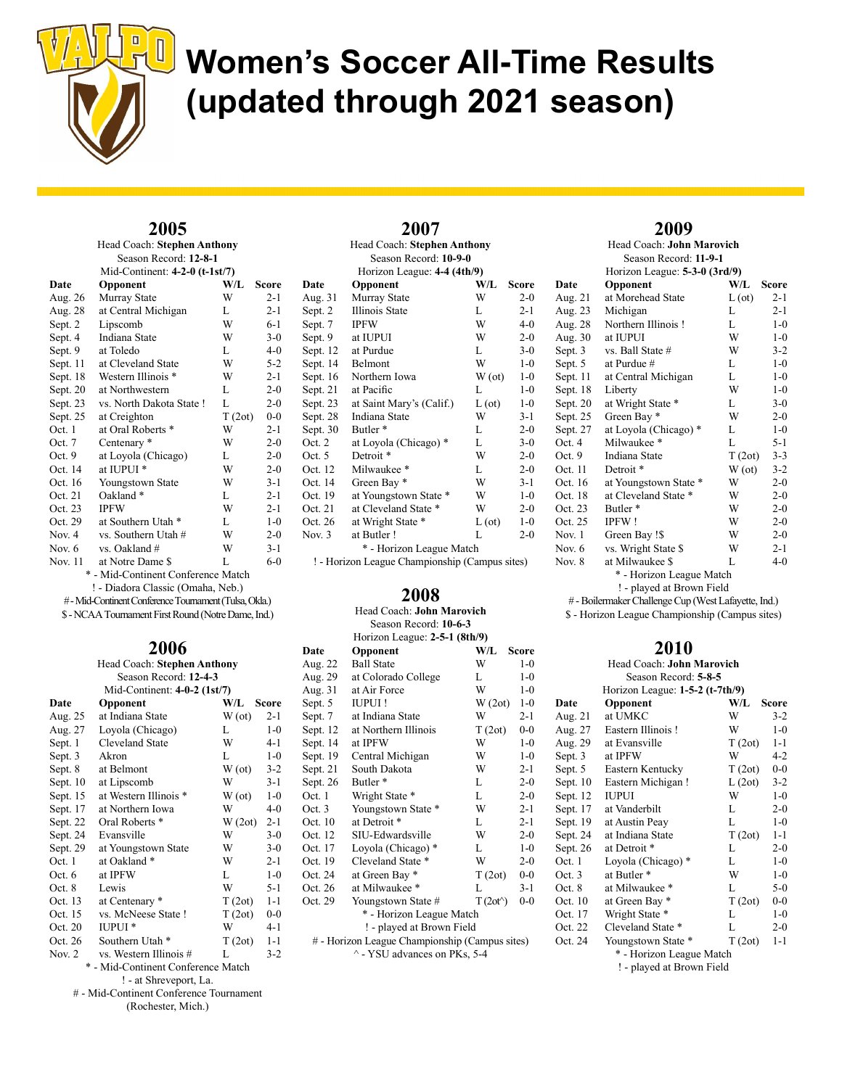

## 2005

Head Coach: Stephen Anthony Season Record: 12-8-1 Mid-Continent: 4-2-0 (t-1st/7)

|          |                                  |        | <u><b>EVING-COMMICHIL: 4-2-0 (C-1307)</b></u> |  |  |  |  |
|----------|----------------------------------|--------|-----------------------------------------------|--|--|--|--|
| Date     | Opponent                         | W/L    | Score                                         |  |  |  |  |
| Aug. 26  | Murray State                     | W      | $2 - 1$                                       |  |  |  |  |
| Aug. 28  | at Central Michigan              | L      | $2 - 1$                                       |  |  |  |  |
| Sept. 2  | Lipscomb                         | W      | $6-1$                                         |  |  |  |  |
| Sept. 4  | Indiana State                    | W      | $3-0$                                         |  |  |  |  |
| Sept. 9  | at Toledo                        | L      | $4 - 0$                                       |  |  |  |  |
| Sept. 11 | at Cleveland State               | W      | $5 - 2$                                       |  |  |  |  |
| Sept. 18 | Western Illinois *               | W      | $2 - 1$                                       |  |  |  |  |
| Sept. 20 | at Northwestern                  | L      | $2 - 0$                                       |  |  |  |  |
| Sept. 23 | vs. North Dakota State !         | L      | $2 - 0$                                       |  |  |  |  |
| Sept. 25 | at Creighton                     | T(2ot) | $0 - 0$                                       |  |  |  |  |
| Oct. 1   | at Oral Roberts *                | W      | $2 - 1$                                       |  |  |  |  |
| Oct. $7$ | Centenary *                      | W      | $2 - 0$                                       |  |  |  |  |
| Oct. 9   | at Loyola (Chicago)              | L      | $2 - 0$                                       |  |  |  |  |
| Oct. 14  | at IUPUI <sup>*</sup>            | W      | $2 - 0$                                       |  |  |  |  |
| Oct. 16  | Youngstown State                 | W      | $3 - 1$                                       |  |  |  |  |
| Oct. 21  | Oakland <sup>*</sup>             | L      | $2 - 1$                                       |  |  |  |  |
| Oct. 23  | <b>IPFW</b>                      | W      | $2 - 1$                                       |  |  |  |  |
| Oct. 29  | at Southern Utah *               | L      | $1 - 0$                                       |  |  |  |  |
| Nov. $4$ | vs. Southern Utah #              | W      | $2 - 0$                                       |  |  |  |  |
| Nov. $6$ | vs. Oakland #                    | W      | $3-1$                                         |  |  |  |  |
| Nov. 11  | at Notre Dame \$                 | L      | $6-0$                                         |  |  |  |  |
| *        | - Mid-Continent Conference Match |        |                                               |  |  |  |  |

Mid-Continent Conference Match ! - Diadora Classic (Omaha, Neb.)

# - Mid-Continent Conference Tournament (Tulsa, Okla.) \$ - NCAA Tournament First Round (Notre Dame, Ind.)

### 2006

| Head Coach: Stephen Anthony        |                              |        |              |
|------------------------------------|------------------------------|--------|--------------|
|                                    | Season Record: 12-4-3        |        |              |
|                                    | Mid-Continent: 4-0-2 (1st/7) |        |              |
| Date                               | Opponent                     | W/L    | <b>Score</b> |
| Aug. 25                            | at Indiana State             | W(ot)  | $2 - 1$      |
| Aug. 27                            | Loyola (Chicago)             | L      | $1 - 0$      |
| Sept. 1                            | Cleveland State              | W      | $4 - 1$      |
| Sept. 3                            | Akron                        | L      | $1 - 0$      |
| Sept. 8                            | at Belmont                   | W(ot)  | $3 - 2$      |
| Sept. $10$                         | at Lipscomb                  | W      | $3-1$        |
| Sept. 15                           | at Western Illinois *        | W(ot)  | $1 - 0$      |
| Sept. 17                           | at Northern Iowa             | W      | $4 - 0$      |
| Sept. 22                           | Oral Roberts <sup>*</sup>    | W(2ot) | $2 - 1$      |
| Sept. 24                           | Evansville                   | W      | $3-0$        |
| Sept. 29                           | at Youngstown State          | W      | $3-0$        |
| Oct. 1                             | at Oakland*                  | W      | $2 - 1$      |
| Oct. 6                             | at IPFW                      | L      | $1 - 0$      |
| Oct. 8                             | Lewis                        | W      | $5 - 1$      |
| Oct. 13                            | at Centenary *               | T(2ot) | $1 - 1$      |
| Oct. 15                            | vs. McNeese State!           | T(2ot) | $0 - 0$      |
| Oct. 20                            | IUPUI <sup>*</sup>           | W      | $4 - 1$      |
| Oct. 26                            | Southern Utah <sup>*</sup>   | T(2ot) | $1 - 1$      |
| Nov. 2                             | vs. Western Illinois #       | L      | $3-2$        |
| * - Mid-Continent Conference Match |                              |        |              |

! - at Shreveport, La.

# - Mid-Continent Conference Tournament

(Rochester, Mich.)

| 2007                     |                                    |                |              |
|--------------------------|------------------------------------|----------------|--------------|
|                          | <b>Head Coach: Stephen Anthony</b> |                |              |
|                          | Season Record: 10-9-0              |                |              |
|                          | Horizon League: 4-4 (4th/9)        |                |              |
| Date                     | Opponent                           | W/L            | <b>Score</b> |
| Aug. 31                  | Murray State                       | W              | $2 - 0$      |
| Sept. 2                  | Illinois State                     | L              | $2 - 1$      |
| Sept. 7                  | <b>IPFW</b>                        | W              | $4 - 0$      |
| Sept. 9                  | at IUPUI                           | W              | $2 - 0$      |
| Sept. 12                 | at Purdue                          | L              | $3-0$        |
| Sept. 14                 | Belmont                            | W              | $1-0$        |
| Sept. 16                 | Northern Iowa                      | W(ot)          | $1-0$        |
| Sept. 21                 | at Pacific                         | L              | $1-0$        |
| Sept. 23                 | at Saint Mary's (Calif.)           | $L(\text{ot})$ | $1-0$        |
| Sept. 28                 | Indiana State                      | W              | $3-1$        |
| Sept. 30                 | Butler <sup>*</sup>                | L              | $2 - 0$      |
| Oct. 2                   | at Loyola (Chicago) *              | L              | $3-0$        |
| Oct. 5                   | Detroit <sup>*</sup>               | W              | $2 - 0$      |
| Oct. 12                  | Milwaukee*                         | L              | $2 - 0$      |
| Oct. 14                  | Green Bay *                        | W              | $3-1$        |
| Oct. 19                  | at Youngstown State *              | W              | $1-0$        |
| Oct. 21                  | at Cleveland State *               | W              | $2 - 0$      |
| Oct. 26                  | at Wright State *                  | $L(\sigma t)$  | $1-0$        |
| Nov. 3                   | at Butler!                         | L              | $2 - 0$      |
| * - Horizon League Match |                                    |                |              |

! - Horizon League Championship (Campus sites)

## 2008

Head Coach: John Marovich Season Record: 10-6-3 Horizon League: 2-5-1 (8th/9)

|                                                | . <del>. .</del>         |                   |              |
|------------------------------------------------|--------------------------|-------------------|--------------|
| Date                                           | Opponent                 | W/L               | <b>Score</b> |
| Aug. 22                                        | <b>Ball State</b>        | W                 | $1-0$        |
| Aug. 29                                        | at Colorado College      | L                 | $1-0$        |
| Aug. 31                                        | at Air Force             | W                 | $1-0$        |
| Sept. 5                                        | <b>IUPUI!</b>            | W(2ot)            | $1-0$        |
| Sept. 7                                        | at Indiana State         | W                 | $2 - 1$      |
| Sept. 12                                       | at Northern Illinois     | T(2ot)            | $0-0$        |
| Sept. 14                                       | at IPFW                  | W                 | $1-0$        |
| Sept. 19                                       | Central Michigan         | W                 | $1-0$        |
| Sept. 21                                       | South Dakota             | W                 | $2 - 1$      |
| Sept. 26                                       | Butler <sup>*</sup>      | L                 | $2 - 0$      |
| Oct. 1                                         | Wright State *           | L                 | $2 - 0$      |
| Oct. 3                                         | Youngstown State *       | W                 | $2 - 1$      |
| Oct. 10                                        | at Detroit *             | L                 | $2 - 1$      |
| Oct. 12                                        | SIU-Edwardsville         | W                 | $2 - 0$      |
| Oct. 17                                        | Loyola (Chicago) *       | L                 | $1-0$        |
| Oct. 19                                        | Cleveland State *        | W                 | $2 - 0$      |
| Oct. 24                                        | at Green Bay *           | T(2ot)            | $0-0$        |
| Oct. 26                                        | at Milwaukee *           | L                 | $3-1$        |
| Oct. 29                                        | Youngstown State #       | $T(2ot^{\wedge})$ | $0-0$        |
|                                                | * - Horizon League Match |                   |              |
| ! - played at Brown Field                      |                          |                   |              |
| # - Horizon League Championship (Campus sites) |                          |                   |              |
| ^ - YSU advances on PKs, 5-4                   |                          |                   |              |

### 2009

|            | Head Coach: John Marovich<br>Season Record: 11-9-1 |               |              |
|------------|----------------------------------------------------|---------------|--------------|
|            | Horizon League: 5-3-0 (3rd/9)                      |               |              |
| Date       | Opponent                                           | W/L           | <b>Score</b> |
| Aug. 21    | at Morehead State                                  | $L(\sigma t)$ | $2 - 1$      |
| Aug. 23    | Michigan                                           | L             | $2 - 1$      |
| Aug. 28    | Northern Illinois!                                 | L             | $1-0$        |
| Aug. 30    | at IUPUI                                           | W             | $1-0$        |
| Sept. 3    | vs. Ball State #                                   | W             | $3-2$        |
| Sept. 5    | at Purdue #                                        | L             | $1-0$        |
| Sept. 11   | at Central Michigan                                | L             | $1 - 0$      |
| Sept. 18   | Liberty                                            | W             | $1-0$        |
| Sept. $20$ | at Wright State *                                  | L             | $3-0$        |
| Sept. 25   | Green Bay *                                        | W             | $2-0$        |
| Sept. 27   | at Loyola (Chicago) *                              | L             | $1-0$        |
| Oct. 4     | Milwaukee*                                         | L             | $5 - 1$      |
| Oct. 9     | Indiana State                                      | T(2ot)        | $3 - 3$      |
| Oct. 11    | Detroit <sup>*</sup>                               | W(ot)         | $3-2$        |
| Oct. 16    | at Youngstown State *                              | W             | $2 - 0$      |
| Oct. 18    | at Cleveland State *                               | W             | $2 - 0$      |
| Oct. 23    | Butler <sup>*</sup>                                | W             | $2 - 0$      |
| Oct. 25    | <b>IPFW!</b>                                       | W             | $2 - 0$      |
| Nov. 1     | Green Bay !\$                                      | W             | $2 - 0$      |
| Nov. 6     | vs. Wright State \$                                | W             | $2 - 1$      |
| Nov. 8     | at Milwaukee \$                                    | L             | $4 - 0$      |
|            | * - Horizon League Match                           |               |              |
|            | ! - played at Brown Field                          |               |              |

# - Boilermaker Challenge Cup (West Lafayette, Ind.) \$ - Horizon League Championship (Campus sites)

## 2010

|            | Head Coach: John Marovich         |        |         |
|------------|-----------------------------------|--------|---------|
|            | Season Record: 5-8-5              |        |         |
|            | Horizon League: $1-5-2$ (t-7th/9) |        |         |
| Date       | Opponent                          | W/L    | Score   |
| Aug. 21    | at UMKC                           | W      | $3 - 2$ |
| Aug. 27    | Eastern Illinois!                 | W      | $1-0$   |
| Aug. 29    | at Evansville                     | T(2ot) | $1 - 1$ |
| Sept. 3    | at IPFW                           | W      | $4 - 2$ |
| Sept. 5    | Eastern Kentucky                  | T(2ot) | $0-0$   |
| Sept. $10$ | Eastern Michigan!                 | L(2ot) | $3-2$   |
| Sept. 12   | <b>IUPUI</b>                      | W      | $1-0$   |
| Sept. 17   | at Vanderbilt                     | L      | $2 - 0$ |
| Sept. 19   | at Austin Peay                    | L      | $1-0$   |
| Sept. 24   | at Indiana State                  | T(2ot) | $1 - 1$ |
| Sept. 26   | at Detroit *                      | L      | $2 - 0$ |
| Oct. 1     | Loyola (Chicago) *                | L      | $1-0$   |
| Oct. 3     | at Butler *                       | W      | $1-0$   |
| Oct. 8     | at Milwaukee *                    | L      | $5-0$   |
| Oct. 10    | at Green Bay *                    | T(2ot) | $0-0$   |
| Oct. 17    | Wright State *                    | L      | $1-0$   |
| Oct. 22    | Cleveland State *                 | L      | $2 - 0$ |
| Oct. 24    | Youngstown State *                | T(2ot) | $1 - 1$ |
|            | * - Horizon League Match          |        |         |

! - played at Brown Field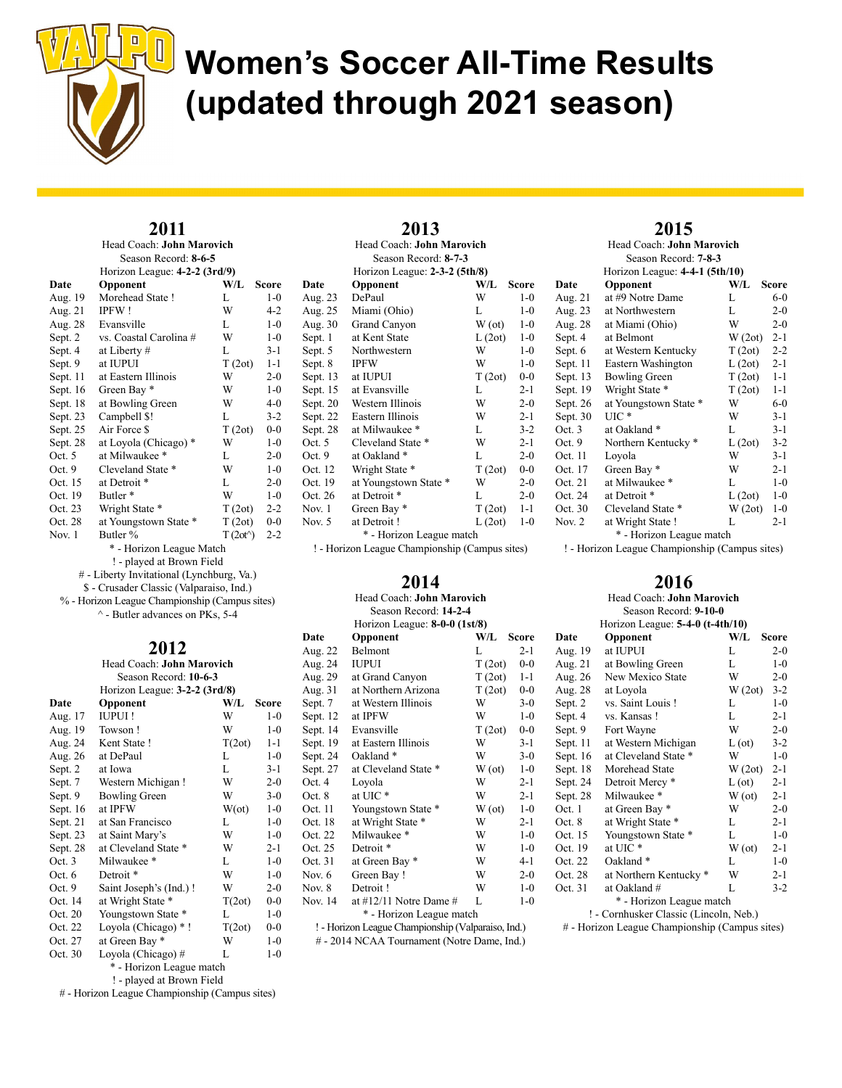

#### 2011 Head Coach: John Marovich

| Season Record: 8-6-5     |                               |                   |         |
|--------------------------|-------------------------------|-------------------|---------|
|                          | Horizon League: 4-2-2 (3rd/9) |                   |         |
| Date                     | Opponent                      | W/L               | Score   |
| Aug. 19                  | Morehead State !              | L                 | $1-0$   |
| Aug. 21                  | <b>IPFW!</b>                  | W                 | $4-2$   |
| Aug. 28                  | Evansville                    | L                 | $1 - 0$ |
| Sept. 2                  | vs. Coastal Carolina #        | W                 | $1 - 0$ |
| Sept. 4                  | at Liberty #                  | L                 | $3 - 1$ |
| Sept. 9                  | at IUPUI                      | T(2ot)            | $1 - 1$ |
| Sept. 11                 | at Eastern Illinois           | W                 | $2 - 0$ |
| Sept. $16$               | Green Bay *                   | W                 | $1 - 0$ |
| Sept. 18                 | at Bowling Green              | W                 | $4 - 0$ |
| Sept. 23                 | Campbell \$!                  | L                 | $3-2$   |
| Sept. 25                 | Air Force \$                  | T(2ot)            | $0 - 0$ |
| Sept. 28                 | at Loyola (Chicago) *         | W                 | $1-0$   |
| Oct. 5                   | at Milwaukee *                | L                 | $2 - 0$ |
| Oct. $9$                 | Cleveland State *             | W                 | $1 - 0$ |
| Oct. 15                  | at Detroit *                  | L                 | $2 - 0$ |
| Oct. 19                  | Butler <sup>*</sup>           | W                 | $1-0$   |
| Oct. 23                  | Wright State *                | T(2ot)            | $2 - 2$ |
| Oct. 28                  | at Youngstown State *         | T(2ot)            | $0 - 0$ |
| Nov. $1$                 | Butler %                      | $T(2ot^{\wedge})$ | $2 - 2$ |
| * - Horizon League Match |                               |                   |         |

- ! played at Brown Field
- # Liberty Invitational (Lynchburg, Va.)
- \$ Crusader Classic (Valparaiso, Ind.)
- % Horizon League Championship (Campus sites) ^ - Butler advances on PKs, 5-4

## 2012

| Head Coach: John Marovich |                               |               |         |
|---------------------------|-------------------------------|---------------|---------|
|                           | Season Record: 10-6-3         |               |         |
|                           | Horizon League: 3-2-2 (3rd/8) |               |         |
| Date                      | Opponent                      | W/L           | Score   |
| Aug. 17                   | <b>IUPUI!</b>                 | W             | $1 - 0$ |
| Aug. 19                   | Towson!                       | W             | $1 - 0$ |
| Aug. 24                   | Kent State!                   | T(2ot)        | 1-1     |
| Aug. 26                   | at DePaul                     | L             | $1-0$   |
| Sept. 2                   | at Iowa                       | L             | $3-1$   |
| Sept. 7                   | Western Michigan!             | W             | $2 - 0$ |
| Sept. 9                   | <b>Bowling Green</b>          | W             | $3-0$   |
| Sept. $16$                | at IPFW                       | $W(\alpha t)$ | $1 - 0$ |
| Sept. 21                  | at San Francisco              | L             | $1 - 0$ |
| Sept. 23                  | at Saint Mary's               | W             | $1 - 0$ |
| Sept. 28                  | at Cleveland State *          | W             | $2 - 1$ |
| Oct.3                     | Milwaukee *                   | L             | $1-0$   |
| Oct. $6$                  | Detroit *                     | W             | $1-0$   |
| Oct. 9                    | Saint Joseph's (Ind.)!        | W             | $2 - 0$ |
| Oct. 14                   | at Wright State *             | T(2ot)        | $0-0$   |
| Oct. 20                   | Youngstown State *            | L             | $1-0$   |
| Oct. 22                   | Loyola (Chicago) *!           | T(2ot)        | $0-0$   |
| Oct. 27                   | at Green Bay *                | W             | $1-0$   |
| Oct. 30                   | Loyola (Chicago)#             | L             | $1-0$   |
| * - Horizon League match  |                               |               |         |

! - played at Brown Field

# - Horizon League Championship (Campus sites)

| 2013<br>Head Coach: John Marovich<br>Season Record: 8-7-3 |                               |        |         |  |
|-----------------------------------------------------------|-------------------------------|--------|---------|--|
| Date                                                      | Horizon League: 2-3-2 (5th/8) | W/L    | Score   |  |
|                                                           | Opponent<br>DePaul            | W      | $1 - 0$ |  |
| Aug. 23<br>Aug. 25                                        | Miami (Ohio)                  | L      | $1 - 0$ |  |
| Aug. 30                                                   | Grand Canyon                  | W(ot)  | $1 - 0$ |  |
| Sept. 1                                                   | at Kent State                 | L(2ot) | $1-0$   |  |
| Sept. 5                                                   | Northwestern                  | W      | $1 - 0$ |  |
| Sept. 8                                                   | <b>IPFW</b>                   | W      | $1 - 0$ |  |
| Sept. 13                                                  | at IUPUI                      | T(2ot) | $0 - 0$ |  |
| Sept. 15                                                  | at Evansville                 | L      | $2 - 1$ |  |
| Sept. 20                                                  | Western Illinois              | W      | $2-0$   |  |
| Sept. 22                                                  | Eastern Illinois              | W      | $2 - 1$ |  |
| Sept. 28                                                  | at Milwaukee *                | L      | $3 - 2$ |  |
| Oct. $5$                                                  | Cleveland State *             | W      | $2 - 1$ |  |
| Oct. 9                                                    | at Oakland *                  | L      | $2 - 0$ |  |

| $\sim$ $\sim$ |                       |        |         |  |
|---------------|-----------------------|--------|---------|--|
| Sept. 13      | at IUPUI              | T(2ot) | $0-0$   |  |
| Sept. 15      | at Evansville         | L      | $2 - 1$ |  |
| Sept. 20      | Western Illinois      | W      | $2 - 0$ |  |
| Sept. 22      | Eastern Illinois      | W      | $2 - 1$ |  |
| Sept. 28      | at Milwaukee *        | L      | $3-2$   |  |
| Oct. $5$      | Cleveland State *     | W      | $2 - 1$ |  |
| Oct. 9        | at Oakland *          | L      | $2 - 0$ |  |
| Oct. 12       | Wright State *        | T(2ot) | $0-0$   |  |
| Oct. 19       | at Youngstown State * | W      | $2 - 0$ |  |
| Oct. 26       | at Detroit *          | L      | $2 - 0$ |  |
| Nov. $1$      | Green Bay *           | T(2ot) | $1 - 1$ |  |
| Nov. $5$      | at Detroit!           | L(2ot) | $1-0$   |  |

\* - Horizon League match ! - Horizon League Championship (Campus sites)

### 2014

| Head Coach: John Marovich                   |                                                    |        |              |  |
|---------------------------------------------|----------------------------------------------------|--------|--------------|--|
|                                             | Season Record: 14-2-4                              |        |              |  |
|                                             | Horizon League: 8-0-0 (1st/8)                      |        |              |  |
| Date                                        | Opponent                                           | W/L    | <b>Score</b> |  |
| Aug. 22                                     | <b>Belmont</b>                                     | L      | $2 - 1$      |  |
| Aug. 24                                     | <b>IUPUI</b>                                       | T(2ot) | $0 - 0$      |  |
| Aug. 29                                     | at Grand Canyon                                    | T(2ot) | $1 - 1$      |  |
| Aug. 31                                     | at Northern Arizona                                | T(2ot) | $0-0$        |  |
| Sept. 7                                     | at Western Illinois                                | W      | $3-0$        |  |
| Sept. 12                                    | at IPFW                                            | W      | $1-0$        |  |
| Sept. 14                                    | Evansville                                         | T(2ot) | $0-0$        |  |
| Sept. 19                                    | at Eastern Illinois                                | W      | $3-1$        |  |
| Sept. 24                                    | Oakland <sup>*</sup>                               | W      | $3 - 0$      |  |
| Sept. 27                                    | at Cleveland State *                               | W(ot)  | $1-0$        |  |
| Oct. 4                                      | Loyola                                             | W      | $2 - 1$      |  |
| Oct. 8                                      | at UIC *                                           | W      | $2 - 1$      |  |
| Oct. 11                                     | Youngstown State *                                 | W(ot)  | $1-0$        |  |
| Oct. 18                                     | at Wright State *                                  | W      | $2 - 1$      |  |
| Oct. 22                                     | Milwaukee *                                        | W      | $1-0$        |  |
| Oct. 25                                     | Detroit <sup>*</sup>                               | W      | $1-0$        |  |
| Oct. 31                                     | at Green Bay *                                     | W      | $4-1$        |  |
| Nov. 6                                      | Green Bay!                                         | W      | $2 - 0$      |  |
| Nov. 8                                      | Detroit!                                           | W      | $1-0$        |  |
| Nov. 14                                     | at $\#12/11$ Notre Dame $\#$                       | L      | $1 - 0$      |  |
| * - Horizon League match                    |                                                    |        |              |  |
|                                             | ! - Horizon League Championship (Valparaiso, Ind.) |        |              |  |
| # - 2014 NCAA Tournament (Notre Dame, Ind.) |                                                    |        |              |  |

## 2015

|          | Head Coach: John Marovich      |        |         |
|----------|--------------------------------|--------|---------|
|          | Season Record: 7-8-3           |        |         |
|          | Horizon League: 4-4-1 (5th/10) |        |         |
| Date     | Opponent                       | W/L    | Score   |
| Aug. 21  | at #9 Notre Dame               | L      | $6-0$   |
| Aug. 23  | at Northwestern                | L      | $2 - 0$ |
| Aug. 28  | at Miami (Ohio)                | W      | $2 - 0$ |
| Sept. 4  | at Belmont                     | W(2ot) | $2 - 1$ |
| Sept. 6  | at Western Kentucky            | T(2ot) | $2 - 2$ |
| Sept. 11 | Eastern Washington             | L(2ot) | $2 - 1$ |
| Sept. 13 | <b>Bowling Green</b>           | T(2ot) | $1 - 1$ |
| Sept. 19 | Wright State *                 | T(2ot) | $1 - 1$ |
| Sept. 26 | at Youngstown State *          | W      | $6-0$   |
| Sept. 30 | $UIC*$                         | W      | $3-1$   |
| Oct. 3   | at Oakland*                    | L      | $3-1$   |
| Oct. 9   | Northern Kentucky *            | L(2ot) | $3 - 2$ |
| Oct. 11  | Loyola                         | W      | $3 - 1$ |
| Oct. 17  | Green Bay *                    | W      | $2 - 1$ |
| Oct. 21  | at Milwaukee *                 | L      | $1-0$   |
| Oct. 24  | at Detroit *                   | L(2ot) | $1 - 0$ |
| Oct. 30  | Cleveland State *              | W(2ot) | $1 - 0$ |
| Nov. 2   | at Wright State !              | L      | $2 - 1$ |
|          | * - Horizon League match       |        |         |

! - Horizon League Championship (Campus sites)

## 2016

| Head Coach: John Marovich              |                                    |               |              |  |
|----------------------------------------|------------------------------------|---------------|--------------|--|
|                                        | Season Record: 9-10-0              |               |              |  |
|                                        | Horizon League: $5-4-0$ (t-4th/10) |               |              |  |
| Date                                   | Opponent                           | W/L           | <b>Score</b> |  |
| Aug. 19                                | at IUPUI                           | L             | $2-0$        |  |
| Aug. 21                                | at Bowling Green                   | L             | $1 - 0$      |  |
| Aug. 26                                | New Mexico State                   | W             | $2 - 0$      |  |
| Aug. 28                                | at Loyola                          | W(2ot)        | $3 - 2$      |  |
| Sept. 2                                | vs. Saint Louis !                  | L             | $1 - 0$      |  |
| Sept. 4                                | vs. Kansas !                       | L             | $2 - 1$      |  |
| Sept. 9                                | Fort Wayne                         | W             | $2 - 0$      |  |
| Sept. 11                               | at Western Michigan                | $L(\sigma t)$ | $3-2$        |  |
| Sept. $16$                             | at Cleveland State *               | W             | $1 - 0$      |  |
| Sept. 18                               | Morehead State                     | W(2ot)        | $2 - 1$      |  |
| Sept. 24                               | Detroit Mercy <sup>*</sup>         | $L(\sigma t)$ | $2 - 1$      |  |
| Sept. 28                               | Milwaukee *                        | W(ot)         | $2 - 1$      |  |
| Oct. 1                                 | at Green Bay *                     | W             | $2 - 0$      |  |
| Oct. 8                                 | at Wright State *                  | L             | $2 - 1$      |  |
| Oct. 15                                | Youngstown State *                 | L             | $1 - 0$      |  |
| Oct. 19                                | at UIC*                            | W(ot)         | $2 - 1$      |  |
| Oct. 22                                | Oakland*                           | L             | $1 - 0$      |  |
| Oct. 28                                | at Northern Kentucky *             | W             | $2 - 1$      |  |
| Oct. 31                                | at Oakland #                       | L             | $3-2$        |  |
|                                        | * - Horizon League match           |               |              |  |
| ! - Cornhusker Classic (Lincoln, Neb.) |                                    |               |              |  |

# - Horizon League Championship (Campus sites)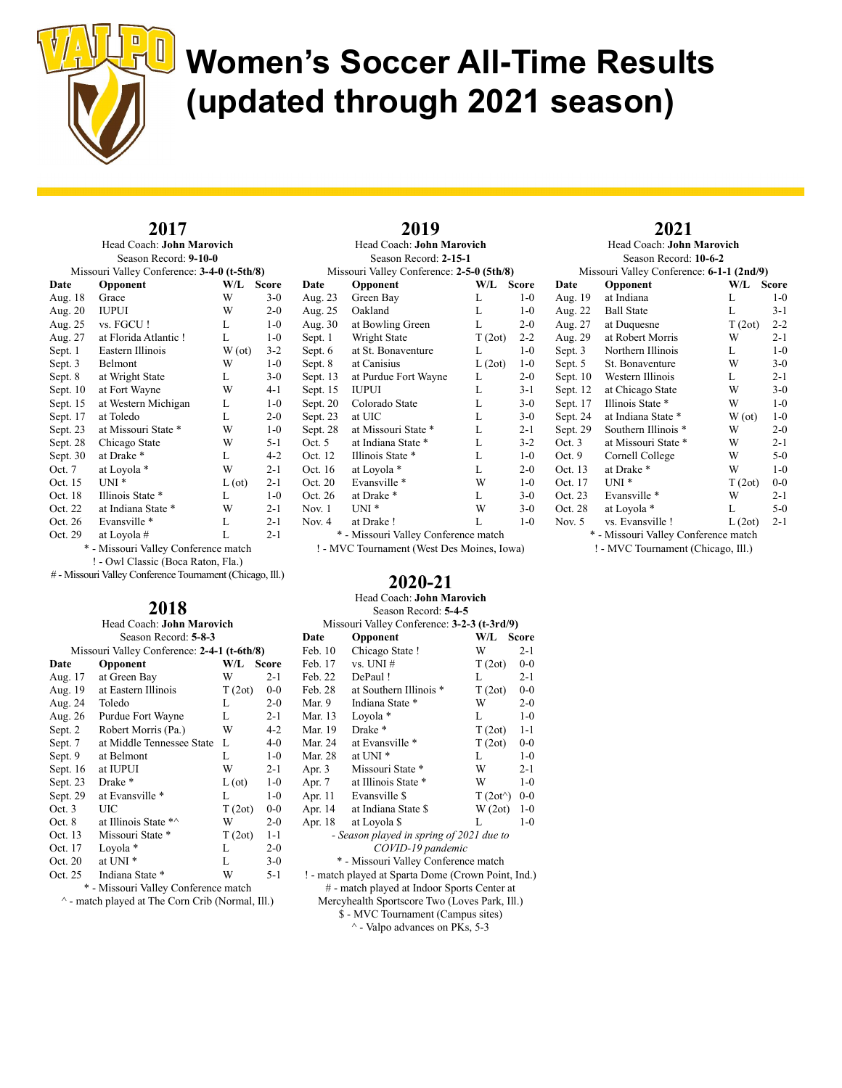

## 2017

Head Coach: John Marovich Season Record: 9-10-0 Missouri Valley Conference: 3-4-0 (t-5th/8)

| Date       | Opponent                             | W/L            | <b>Score</b> |
|------------|--------------------------------------|----------------|--------------|
| Aug. 18    | Grace                                | W              | $3-0$        |
| Aug. 20    | <b>IUPUI</b>                         | W              | $2 - 0$      |
| Aug. 25    | vs. FGCU!                            | L              | $1 - 0$      |
| Aug. 27    | at Florida Atlantic!                 | L              | $1-0$        |
| Sept. 1    | Eastern Illinois                     | W(ot)          | $3 - 2$      |
| Sept. 3    | Belmont                              | W              | $1-0$        |
| Sept. 8    | at Wright State                      | L              | $3-0$        |
| Sept. $10$ | at Fort Wayne                        | W              | $4-1$        |
| Sept. 15   | at Western Michigan                  | L              | $1 - 0$      |
| Sept. 17   | at Toledo                            | L              | $2 - 0$      |
| Sept. 23   | at Missouri State *                  | W              | $1-0$        |
| Sept. 28   | Chicago State                        | W              | $5 - 1$      |
| Sept. 30   | at Drake *                           | L              | $4 - 2$      |
| Oct. 7     | at Loyola *                          | W              | $2 - 1$      |
| Oct. 15    | $UNI^*$                              | $L(\text{ot})$ | $2 - 1$      |
| Oct. 18    | Illinois State *                     | L              | $1-0$        |
| Oct. 22    | at Indiana State *                   | W              | $2 - 1$      |
| Oct. 26    | Evansville *                         | L              | $2 - 1$      |
| Oct. 29    | at Loyola #                          | L              | $2 - 1$      |
|            | * - Missouri Valley Conference match |                |              |

! - Owl Classic (Boca Raton, Fla.)

# - Missouri Valley Conference Tournament (Chicago, Ill.)

### 2018

|                                             | Head Coach: John Marovich |               |         |  |  |  |  |  |
|---------------------------------------------|---------------------------|---------------|---------|--|--|--|--|--|
|                                             | Season Record: 5-8-3      |               |         |  |  |  |  |  |
| Missouri Valley Conference: 2-4-1 (t-6th/8) |                           |               |         |  |  |  |  |  |
| Date                                        | Opponent                  | W/L           | Score   |  |  |  |  |  |
| Aug. 17                                     | at Green Bay              | W             | $2 - 1$ |  |  |  |  |  |
| Aug. 19                                     | at Eastern Illinois       | T(2ot)        | $0 - 0$ |  |  |  |  |  |
| Aug. 24                                     | Toledo                    | L             | $2 - 0$ |  |  |  |  |  |
| Aug. 26                                     | Purdue Fort Wayne         | L             | $2 - 1$ |  |  |  |  |  |
| Sept. 2                                     | Robert Morris (Pa.)       | W             | $4 - 2$ |  |  |  |  |  |
| Sept. 7                                     | at Middle Tennessee State | L             | $4 - 0$ |  |  |  |  |  |
| Sept. 9                                     | at Belmont                | L             | $1 - 0$ |  |  |  |  |  |
| Sept. 16                                    | at IUPUI                  | W             | $2 - 1$ |  |  |  |  |  |
| Sept. 23                                    | Drake *                   | $L(\sigma t)$ | $1-0$   |  |  |  |  |  |
| Sept. 29                                    | at Evansville *           | L             | $1 - 0$ |  |  |  |  |  |
| Oct. 3                                      | UIC                       | T(2ot)        | $0-0$   |  |  |  |  |  |
| Oct. 8                                      | at Illinois State *^      | W             | $2 - 0$ |  |  |  |  |  |
| Oct. 13                                     | Missouri State *          | T(2ot)        | $1 - 1$ |  |  |  |  |  |
| Oct. 17                                     | Loyola *                  | L             | $2 - 0$ |  |  |  |  |  |
| Oct. 20                                     | at UNI <sup>*</sup>       | L             | $3-0$   |  |  |  |  |  |
| Oct. 25                                     | Indiana State *           | W             | $5 - 1$ |  |  |  |  |  |
|                                             |                           |               |         |  |  |  |  |  |

\* - Missouri Valley Conference match

^ - match played at The Corn Crib (Normal, Ill.)

|                                           | 2019                                 |              |         |  |  |  |  |  |  |
|-------------------------------------------|--------------------------------------|--------------|---------|--|--|--|--|--|--|
| Head Coach: John Marovich                 |                                      |              |         |  |  |  |  |  |  |
|                                           | Season Record: 2-15-1                |              |         |  |  |  |  |  |  |
| Missouri Valley Conference: 2-5-0 (5th/8) |                                      |              |         |  |  |  |  |  |  |
| Date                                      | Opponent                             | W/L          | Score   |  |  |  |  |  |  |
| Aug. 23                                   | Green Bay                            | L            | $1-0$   |  |  |  |  |  |  |
| Aug. 25                                   | Oakland                              | L            | $1-0$   |  |  |  |  |  |  |
| Aug. 30                                   | at Bowling Green                     | L            | $2 - 0$ |  |  |  |  |  |  |
| Sept. 1                                   | Wright State                         | $T(2ot)$ 2-2 |         |  |  |  |  |  |  |
| Sept. 6                                   | at St. Bonaventure                   | L            | $1-0$   |  |  |  |  |  |  |
| Sept. 8                                   | at Canisius                          | L(2ot)       | $1-0$   |  |  |  |  |  |  |
| Sept. 13                                  | at Purdue Fort Wayne                 | L            | $2 - 0$ |  |  |  |  |  |  |
| Sept. 15                                  | <b>IUPUI</b>                         | L            | $3-1$   |  |  |  |  |  |  |
| Sept. 20                                  | Colorado State                       | L            | $3-0$   |  |  |  |  |  |  |
| Sept. 23                                  | at UIC                               | L            | $3-0$   |  |  |  |  |  |  |
| Sept. 28                                  | at Missouri State *                  | L            | $2 - 1$ |  |  |  |  |  |  |
| Oct. 5                                    | at Indiana State *                   | L            | $3 - 2$ |  |  |  |  |  |  |
| Oct. 12                                   | Illinois State *                     | L            | $1-0$   |  |  |  |  |  |  |
| Oct. 16                                   | at Loyola *                          | L            | $2 - 0$ |  |  |  |  |  |  |
| Oct. 20                                   | Evansville *                         | W            | $1-0$   |  |  |  |  |  |  |
| Oct. 26                                   | at Drake *                           | L            | $3-0$   |  |  |  |  |  |  |
| Nov. 1                                    | $UNI*$                               | W            | $3-0$   |  |  |  |  |  |  |
| Nov. 4                                    | at Drake!                            | L            | $1-0$   |  |  |  |  |  |  |
|                                           | * - Missouri Valley Conference match |              |         |  |  |  |  |  |  |

! - MVC Tournament (West Des Moines, Iowa)

## 2020-21

|         | Head Coach: John Marovich                           |                   |         |
|---------|-----------------------------------------------------|-------------------|---------|
|         | Season Record: 5-4-5                                |                   |         |
|         | Missouri Valley Conference: 3-2-3 (t-3rd/9)         |                   |         |
| Date    | Opponent                                            | W/L               | Score   |
| Feb. 10 | Chicago State !                                     | W                 | $2 - 1$ |
| Feb. 17 | $vs.$ UNI $#$                                       | T(2ot)            | $0-0$   |
| Feb. 22 | DePaul!                                             | L                 | $2 - 1$ |
| Feb. 28 | at Southern Illinois *                              | T(2ot)            | $0-0$   |
| Mar. 9  | Indiana State *                                     | W                 | $2 - 0$ |
| Mar. 13 | Loyola *                                            | L                 | $1-0$   |
| Mar. 19 | Drake *                                             | T(2ot)            | $1 - 1$ |
| Mar. 24 | at Evansville *                                     | T(2ot)            | $0-0$   |
| Mar. 28 | at UNI <sup>*</sup>                                 | L                 | $1-0$   |
| Apr. 3  | Missouri State *                                    | W                 | $2 - 1$ |
| Apr. 7  | at Illinois State *                                 | W                 | $1-0$   |
| Apr. 11 | Evansville \$                                       | $T(2ot^{\wedge})$ | $0-0$   |
| Apr. 14 | at Indiana State \$                                 | W(2ot)            | $1-0$   |
| Apr. 18 | at Loyola \$                                        | L                 | $1 - 0$ |
|         | - Season played in spring of 2021 due to            |                   |         |
|         | COVID-19 pandemic                                   |                   |         |
|         | * - Missouri Valley Conference match                |                   |         |
|         | ! - match played at Sparta Dome (Crown Point, Ind.) |                   |         |
|         | # - match played at Indoor Sports Center at         |                   |         |
|         | Mercyhealth Sportscore Two (Loves Park, Ill.)       |                   |         |
|         | \$ - MVC Tournament (Campus sites)                  |                   |         |
|         | $\land$ - Valpo advances on PKs, 5-3                |                   |         |

### 2021 Head Coach: John Marovich

|            | 110au Coach, John Marovich                                                                                                                                                                                                                                                                                                         |        |              |
|------------|------------------------------------------------------------------------------------------------------------------------------------------------------------------------------------------------------------------------------------------------------------------------------------------------------------------------------------|--------|--------------|
|            | Season Record: 10-6-2                                                                                                                                                                                                                                                                                                              |        |              |
|            | Missouri Valley Conference: 6-1-1 (2nd/9)                                                                                                                                                                                                                                                                                          |        |              |
| Date       | Opponent                                                                                                                                                                                                                                                                                                                           | W/L    | <b>Score</b> |
| Aug. 19    | at Indiana                                                                                                                                                                                                                                                                                                                         | L      | $1 - 0$      |
| Aug. 22    | <b>Ball State</b>                                                                                                                                                                                                                                                                                                                  | L      | $3-1$        |
| Aug. 27    | at Duquesne                                                                                                                                                                                                                                                                                                                        | T(2ot) | $2 - 2$      |
| Aug. 29    | at Robert Morris                                                                                                                                                                                                                                                                                                                   | W      | $2 - 1$      |
| Sept. 3    | Northern Illinois                                                                                                                                                                                                                                                                                                                  | L      | $1-0$        |
| Sept. 5    | St. Bonaventure                                                                                                                                                                                                                                                                                                                    | W      | $3-0$        |
| Sept. $10$ | Western Illinois                                                                                                                                                                                                                                                                                                                   | L      | $2 - 1$      |
| Sept. 12   | at Chicago State                                                                                                                                                                                                                                                                                                                   | W      | $3-0$        |
| Sept. 17   | Illinois State *                                                                                                                                                                                                                                                                                                                   | W      | $1-0$        |
| Sept. 24   | at Indiana State *                                                                                                                                                                                                                                                                                                                 | W(ot)  | $1-0$        |
| Sept. 29   | Southern Illinois *                                                                                                                                                                                                                                                                                                                | W      | $2 - 0$      |
| Oct. $3$   | at Missouri State *                                                                                                                                                                                                                                                                                                                | W      | $2 - 1$      |
| Oct. 9     | Cornell College                                                                                                                                                                                                                                                                                                                    | W      | $5 - 0$      |
| Oct. 13    | at Drake *                                                                                                                                                                                                                                                                                                                         | W      | $1-0$        |
| Oct. 17    | $UNI*$                                                                                                                                                                                                                                                                                                                             | T(2ot) | $0-0$        |
| Oct. 23    | Evansville*                                                                                                                                                                                                                                                                                                                        | W      | $2 - 1$      |
| Oct. 28    | at Loyola *                                                                                                                                                                                                                                                                                                                        | L      | $5-0$        |
| Nov. 5     | vs. Evansville!                                                                                                                                                                                                                                                                                                                    | L(2ot) | $2 - 1$      |
|            | * - Missouri Valley Conference match                                                                                                                                                                                                                                                                                               |        |              |
|            | $\mathbf{1}$ $\mathbf{N}$ $\mathbf{N}$ $\mathbf{N}$ $\mathbf{N}$ $\mathbf{N}$ $\mathbf{N}$ $\mathbf{N}$ $\mathbf{N}$ $\mathbf{N}$ $\mathbf{N}$ $\mathbf{N}$ $\mathbf{N}$ $\mathbf{N}$ $\mathbf{N}$ $\mathbf{N}$ $\mathbf{N}$ $\mathbf{N}$ $\mathbf{N}$ $\mathbf{N}$ $\mathbf{N}$ $\mathbf{N}$ $\mathbf{N}$ $\mathbf{N}$ $\mathbf{$ |        |              |

! - MVC Tournament (Chicago, Ill.)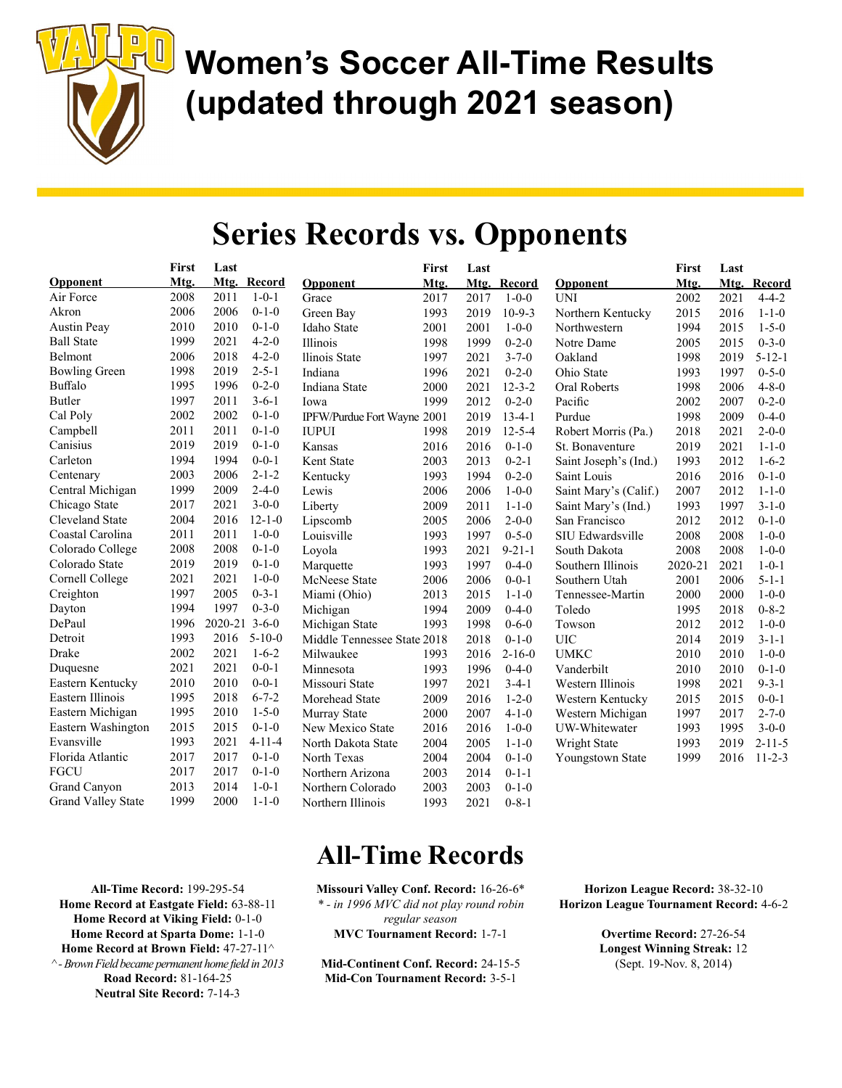

## Series Records vs. Opponents

|                           | <b>First</b> | Last    |              |                             | First | Last |              |                       | First   | Last |              |
|---------------------------|--------------|---------|--------------|-----------------------------|-------|------|--------------|-----------------------|---------|------|--------------|
| Opponent                  | Mtg.         |         | Mtg. Record  | Opponent                    | Mtg.  |      | Mtg. Record  | Opponent              | Mtg.    | Mtg. | Record       |
| Air Force                 | 2008         | 2011    | $1 - 0 - 1$  | Grace                       | 2017  | 2017 | $1 - 0 - 0$  | <b>UNI</b>            | 2002    | 2021 | $4 - 4 - 2$  |
| Akron                     | 2006         | 2006    | $0 - 1 - 0$  | Green Bay                   | 1993  | 2019 | $10-9-3$     | Northern Kentucky     | 2015    | 2016 | $1 - 1 - 0$  |
| <b>Austin Peay</b>        | 2010         | 2010    | $0 - 1 - 0$  | <b>Idaho State</b>          | 2001  | 2001 | $1 - 0 - 0$  | Northwestern          | 1994    | 2015 | $1 - 5 - 0$  |
| <b>Ball State</b>         | 1999         | 2021    | $4 - 2 - 0$  | Illinois                    | 1998  | 1999 | $0 - 2 - 0$  | Notre Dame            | 2005    | 2015 | $0 - 3 - 0$  |
| Belmont                   | 2006         | 2018    | $4 - 2 - 0$  | Ilinois State               | 1997  | 2021 | $3 - 7 - 0$  | Oakland               | 1998    | 2019 | $5 - 12 - 1$ |
| <b>Bowling Green</b>      | 1998         | 2019    | $2 - 5 - 1$  | Indiana                     | 1996  | 2021 | $0 - 2 - 0$  | Ohio State            | 1993    | 1997 | $0 - 5 - 0$  |
| Buffalo                   | 1995         | 1996    | $0 - 2 - 0$  | Indiana State               | 2000  | 2021 | $12 - 3 - 2$ | Oral Roberts          | 1998    | 2006 | $4 - 8 - 0$  |
| Butler                    | 1997         | 2011    | $3 - 6 - 1$  | Iowa                        | 1999  | 2012 | $0 - 2 - 0$  | Pacific               | 2002    | 2007 | $0 - 2 - 0$  |
| Cal Poly                  | 2002         | 2002    | $0 - 1 - 0$  | IPFW/Purdue Fort Wayne 2001 |       | 2019 | $13-4-1$     | Purdue                | 1998    | 2009 | $0 - 4 - 0$  |
| Campbell                  | 2011         | 2011    | $0 - 1 - 0$  | <b>IUPUI</b>                | 1998  | 2019 | $12 - 5 - 4$ | Robert Morris (Pa.)   | 2018    | 2021 | $2 - 0 - 0$  |
| Canisius                  | 2019         | 2019    | $0 - 1 - 0$  | Kansas                      | 2016  | 2016 | $0 - 1 - 0$  | St. Bonaventure       | 2019    | 2021 | $1 - 1 - 0$  |
| Carleton                  | 1994         | 1994    | $0 - 0 - 1$  | Kent State                  | 2003  | 2013 | $0 - 2 - 1$  | Saint Joseph's (Ind.) | 1993    | 2012 | $1 - 6 - 2$  |
| Centenary                 | 2003         | 2006    | $2 - 1 - 2$  | Kentucky                    | 1993  | 1994 | $0 - 2 - 0$  | Saint Louis           | 2016    | 2016 | $0 - 1 - 0$  |
| Central Michigan          | 1999         | 2009    | $2 - 4 - 0$  | Lewis                       | 2006  | 2006 | $1 - 0 - 0$  | Saint Mary's (Calif.) | 2007    | 2012 | $1 - 1 - 0$  |
| Chicago State             | 2017         | 2021    | $3 - 0 - 0$  | Liberty                     | 2009  | 2011 | $1 - 1 - 0$  | Saint Mary's (Ind.)   | 1993    | 1997 | $3 - 1 - 0$  |
| Cleveland State           | 2004         | 2016    | $12 - 1 - 0$ | Lipscomb                    | 2005  | 2006 | $2 - 0 - 0$  | San Francisco         | 2012    | 2012 | $0 - 1 - 0$  |
| Coastal Carolina          | 2011         | 2011    | $1 - 0 - 0$  | Louisville                  | 1993  | 1997 | $0 - 5 - 0$  | SIU Edwardsville      | 2008    | 2008 | $1 - 0 - 0$  |
| Colorado College          | 2008         | 2008    | $0 - 1 - 0$  | Loyola                      | 1993  | 2021 | $9 - 21 - 1$ | South Dakota          | 2008    | 2008 | $1 - 0 - 0$  |
| Colorado State            | 2019         | 2019    | $0 - 1 - 0$  | Marquette                   | 1993  | 1997 | $0 - 4 - 0$  | Southern Illinois     | 2020-21 | 2021 | $1 - 0 - 1$  |
| Cornell College           | 2021         | 2021    | $1 - 0 - 0$  | McNeese State               | 2006  | 2006 | $0 - 0 - 1$  | Southern Utah         | 2001    | 2006 | $5 - 1 - 1$  |
| Creighton                 | 1997         | 2005    | $0 - 3 - 1$  | Miami (Ohio)                | 2013  | 2015 | $1 - 1 - 0$  | Tennessee-Martin      | 2000    | 2000 | $1 - 0 - 0$  |
| Dayton                    | 1994         | 1997    | $0 - 3 - 0$  | Michigan                    | 1994  | 2009 | $0 - 4 - 0$  | Toledo                | 1995    | 2018 | $0 - 8 - 2$  |
| DePaul                    | 1996         | 2020-21 | $3 - 6 - 0$  | Michigan State              | 1993  | 1998 | $0 - 6 - 0$  | Towson                | 2012    | 2012 | $1 - 0 - 0$  |
| Detroit                   | 1993         | 2016    | $5 - 10 - 0$ | Middle Tennessee State 2018 |       | 2018 | $0 - 1 - 0$  | <b>UIC</b>            | 2014    | 2019 | $3 - 1 - 1$  |
| Drake                     | 2002         | 2021    | $1 - 6 - 2$  | Milwaukee                   | 1993  | 2016 | $2 - 16 - 0$ | <b>UMKC</b>           | 2010    | 2010 | $1 - 0 - 0$  |
| Duquesne                  | 2021         | 2021    | $0 - 0 - 1$  | Minnesota                   | 1993  | 1996 | $0 - 4 - 0$  | Vanderbilt            | 2010    | 2010 | $0-1-0$      |
| Eastern Kentucky          | 2010         | 2010    | $0 - 0 - 1$  | Missouri State              | 1997  | 2021 | $3 - 4 - 1$  | Western Illinois      | 1998    | 2021 | $9 - 3 - 1$  |
| Eastern Illinois          | 1995         | 2018    | $6 - 7 - 2$  | Morehead State              | 2009  | 2016 | $1 - 2 - 0$  | Western Kentucky      | 2015    | 2015 | $0 - 0 - 1$  |
| Eastern Michigan          | 1995         | 2010    | $1 - 5 - 0$  | Murray State                | 2000  | 2007 | $4 - 1 - 0$  | Western Michigan      | 1997    | 2017 | $2 - 7 - 0$  |
| Eastern Washington        | 2015         | 2015    | $0 - 1 - 0$  | New Mexico State            | 2016  | 2016 | $1 - 0 - 0$  | UW-Whitewater         | 1993    | 1995 | $3 - 0 - 0$  |
| Evansville                | 1993         | 2021    | $4 - 11 - 4$ | North Dakota State          | 2004  | 2005 | $1 - 1 - 0$  | Wright State          | 1993    | 2019 | $2 - 11 - 5$ |
| Florida Atlantic          | 2017         | 2017    | $0 - 1 - 0$  | North Texas                 | 2004  | 2004 | $0-1-0$      | Youngstown State      | 1999    | 2016 | $11 - 2 - 3$ |
| <b>FGCU</b>               | 2017         | 2017    | $0 - 1 - 0$  | Northern Arizona            | 2003  | 2014 | $0 - 1 - 1$  |                       |         |      |              |
| Grand Canyon              | 2013         | 2014    | $1 - 0 - 1$  | Northern Colorado           | 2003  | 2003 | $0 - 1 - 0$  |                       |         |      |              |
| <b>Grand Valley State</b> | 1999         | 2000    | $1 - 1 - 0$  | Northern Illinois           | 1993  | 2021 | $0 - 8 - 1$  |                       |         |      |              |

All-Time Record: 199-295-54 Home Record at Eastgate Field: 63-88-11 Home Record at Viking Field: 0-1-0 Home Record at Sparta Dome: 1-1-0 Home Record at Brown Field: 47-27-11^  $\wedge$ - Brown Field became permanent home field in 2013 Road Record: 81-164-25

Neutral Site Record: 7-14-3

## All-Time Records

Missouri Valley Conf. Record: 16-26-6\* \* - in 1996 MVC did not play round robin regular season MVC Tournament Record: 1-7-1

Mid-Continent Conf. Record: 24-15-5 Mid-Con Tournament Record: 3-5-1

Horizon League Record: 38-32-10 Horizon League Tournament Record: 4-6-2

> Overtime Record: 27-26-54 Longest Winning Streak: 12 (Sept. 19-Nov. 8, 2014)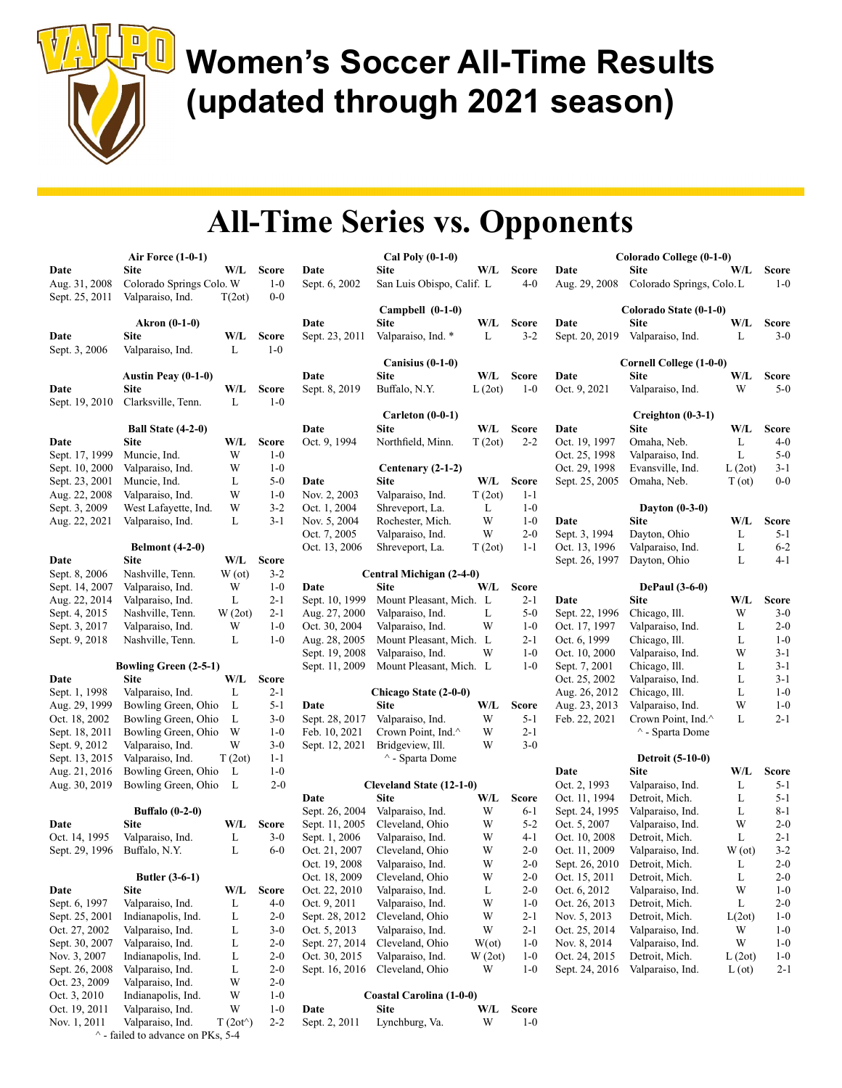

|                | <b>Air Force (1-0-1)</b>     |                   |              |                | Cal Poly (0-1-0)          |                         |              |                | Colorado College (0-1-0)  |        |              |
|----------------|------------------------------|-------------------|--------------|----------------|---------------------------|-------------------------|--------------|----------------|---------------------------|--------|--------------|
| Date           | Site                         | W/L               | <b>Score</b> | Date           | <b>Site</b>               | W/L                     | <b>Score</b> | Date           | <b>Site</b>               | W/L    | <b>Score</b> |
| Aug. 31, 2008  | Colorado Springs Colo. W     |                   | $1 - 0$      | Sept. 6, 2002  | San Luis Obispo, Calif. L |                         | $4 - 0$      | Aug. 29, 2008  | Colorado Springs, Colo.L  |        | $1-0$        |
| Sept. 25, 2011 | Valparaiso, Ind.             | T(2ot)            | $0 - 0$      |                |                           |                         |              |                |                           |        |              |
|                |                              |                   |              |                | Campbell $(0-1-0)$        |                         |              |                | Colorado State (0-1-0)    |        |              |
|                | Akron (0-1-0)                |                   |              | Date           | <b>Site</b>               | W/L                     | <b>Score</b> | Date           | Site                      | W/L    | <b>Score</b> |
| Date           | <b>Site</b>                  | W/L               | <b>Score</b> | Sept. 23, 2011 | Valparaiso, Ind. *        | L                       | $3 - 2$      | Sept. 20, 2019 | Valparaiso, Ind.          | L      | $3-0$        |
| Sept. 3, 2006  | Valparaiso, Ind.             | L                 | $1-0$        |                |                           |                         |              |                |                           |        |              |
|                |                              |                   |              |                | Canisius $(0-1-0)$        |                         |              |                | Cornell College (1-0-0)   |        |              |
|                | Austin Peay (0-1-0)          |                   |              | Date           | <b>Site</b>               | W/L                     | <b>Score</b> | Date           | <b>Site</b>               | W/L    | <b>Score</b> |
|                |                              |                   | <b>Score</b> |                |                           |                         |              | Oct. 9, 2021   |                           | W      | $5 - 0$      |
| Date           | Site                         | W/L               |              | Sept. 8, 2019  | Buffalo, N.Y.             | L(2ot)                  | $1 - 0$      |                | Valparaiso, Ind.          |        |              |
| Sept. 19, 2010 | Clarksville, Tenn.           | L                 | $1-0$        |                |                           |                         |              |                |                           |        |              |
|                |                              |                   |              |                | Carleton (0-0-1)          |                         |              |                | $C$ reighton $(0-3-1)$    |        |              |
|                | Ball State (4-2-0)           |                   |              | Date           | <b>Site</b>               | W/L                     | <b>Score</b> | Date           | <b>Site</b>               | W/L    | <b>Score</b> |
| Date           | Site                         | W/L               | <b>Score</b> | Oct. 9, 1994   | Northfield, Minn.         | T(2ot)                  | $2 - 2$      | Oct. 19, 1997  | Omaha, Neb.               | L      | $4 - 0$      |
| Sept. 17, 1999 | Muncie, Ind.                 | W                 | $1 - 0$      |                |                           |                         |              | Oct. 25, 1998  | Valparaiso, Ind.          | L      | $5-0$        |
| Sept. 10, 2000 | Valparaiso, Ind.             | W                 | $1 - 0$      |                | Centenary (2-1-2)         |                         |              | Oct. 29, 1998  | Evansville, Ind.          | L(2ot) | $3 - 1$      |
| Sept. 23, 2001 | Muncie, Ind.                 | L                 | $5 - 0$      | Date           | <b>Site</b>               | W/L                     | <b>Score</b> | Sept. 25, 2005 | Omaha, Neb.               | T (ot) | $0-0$        |
| Aug. 22, 2008  | Valparaiso, Ind.             | W                 | $1 - 0$      | Nov. 2, 2003   | Valparaiso, Ind.          | T(2ot)                  | $1 - 1$      |                |                           |        |              |
| Sept. 3, 2009  | West Lafayette, Ind.         | W                 | $3 - 2$      | Oct. 1, 2004   | Shreveport, La.           | L                       | $1 - 0$      |                | Dayton $(0-3-0)$          |        |              |
| Aug. 22, 2021  | Valparaiso, Ind.             | L                 | $3-1$        | Nov. 5, 2004   | Rochester, Mich.          | W                       | $1 - 0$      | Date           | <b>Site</b>               | W/L    | <b>Score</b> |
|                |                              |                   |              | Oct. 7, 2005   | Valparaiso, Ind.          | W                       | $2 - 0$      | Sept. 3, 1994  | Dayton, Ohio              | L      | $5 - 1$      |
|                | <b>Belmont (4-2-0)</b>       |                   |              | Oct. 13, 2006  | Shreveport, La.           | T(2ot)                  | $1 - 1$      | Oct. 13, 1996  | Valparaiso, Ind.          | L      | $6 - 2$      |
| Date           | <b>Site</b>                  | W/L               | <b>Score</b> |                |                           |                         |              | Sept. 26, 1997 | Dayton, Ohio              | L      | 4-1          |
| Sept. 8, 2006  | Nashville, Tenn.             | W(ot)             | $3-2$        |                | Central Michigan (2-4-0)  |                         |              |                |                           |        |              |
| Sept. 14, 2007 | Valparaiso, Ind.             | W                 | $1 - 0$      | Date           | <b>Site</b>               | W/L                     | <b>Score</b> |                | <b>DePaul</b> (3-6-0)     |        |              |
| Aug. 22, 2014  | Valparaiso, Ind.             | L                 | $2 - 1$      | Sept. 10, 1999 | Mount Pleasant, Mich. L   |                         | $2 - 1$      | Date           | Site                      | W/L    | <b>Score</b> |
| Sept. 4, 2015  | Nashville, Tenn.             | W(2ot)            | 2-1          | Aug. 27, 2000  | Valparaiso, Ind.          | L                       | $5 - 0$      | Sept. 22, 1996 | Chicago, Ill.             | W      | $3-0$        |
| Sept. 3, 2017  | Valparaiso, Ind.             | W                 | $1 - 0$      | Oct. 30, 2004  | Valparaiso, Ind.          | W                       | $1 - 0$      | Oct. 17, 1997  | Valparaiso, Ind.          | L      | $2 - 0$      |
| Sept. 9, 2018  | Nashville, Tenn.             | L                 | $1 - 0$      | Aug. 28, 2005  | Mount Pleasant, Mich. L   |                         | $2 - 1$      | Oct. 6, 1999   | Chicago, Ill.             | L      | $1 - 0$      |
|                |                              |                   |              | Sept. 19, 2008 | Valparaiso, Ind.          | W                       | $1 - 0$      | Oct. 10, 2000  | Valparaiso, Ind.          | W      | $3-1$        |
|                | <b>Bowling Green (2-5-1)</b> |                   |              | Sept. 11, 2009 | Mount Pleasant, Mich. L   |                         | $1 - 0$      | Sept. 7, 2001  | Chicago, Ill.             | L      | $3-1$        |
| Date           | Site                         | W/L               | <b>Score</b> |                |                           |                         |              | Oct. 25, 2002  | Valparaiso, Ind.          | L      | $3-1$        |
| Sept. 1, 1998  | Valparaiso, Ind.             | L                 | 2-1          |                | Chicago State (2-0-0)     |                         |              | Aug. 26, 2012  | Chicago, Ill.             | L      | $1 - 0$      |
| Aug. 29, 1999  | Bowling Green, Ohio          | L                 | $5 - 1$      | Date           | <b>Site</b>               | W/L                     | <b>Score</b> | Aug. 23, 2013  | Valparaiso, Ind.          | W      | $1 - 0$      |
| Oct. 18, 2002  | Bowling Green, Ohio          | L                 | $3-0$        | Sept. 28, 2017 | Valparaiso, Ind.          | W                       | $5 - 1$      | Feb. 22, 2021  | Crown Point, Ind.^        | L      | $2 - 1$      |
| Sept. 18, 2011 | Bowling Green, Ohio          | W                 | $1 - 0$      | Feb. 10, 2021  | Crown Point, Ind.^        | W                       | $2 - 1$      |                | $^{\wedge}$ - Sparta Dome |        |              |
|                |                              | W                 | $3-0$        |                | Bridgeview, Ill.          | W                       | $3-0$        |                |                           |        |              |
| Sept. 9, 2012  | Valparaiso, Ind.             |                   | $1 - 1$      | Sept. 12, 2021 |                           |                         |              |                |                           |        |              |
| Sept. 13, 2015 | Valparaiso, Ind.             | T(2ot)            |              |                | $^{\wedge}$ - Sparta Dome |                         |              |                | <b>Detroit (5-10-0)</b>   |        |              |
| Aug. 21, 2016  | Bowling Green, Ohio          | $\mathbf{L}$      | $1 - 0$      |                |                           |                         |              | Date           | <b>Site</b>               | W/L    | <b>Score</b> |
| Aug. 30, 2019  | Bowling Green, Ohio          | L                 | $2 - 0$      |                | Cleveland State (12-1-0)  |                         |              | Oct. 2, 1993   | Valparaiso, Ind.          | L      | $5 - 1$      |
|                |                              |                   |              | Date           | <b>Site</b>               | W/L                     | <b>Score</b> | Oct. 11, 1994  | Detroit, Mich.            | L      | $5 - 1$      |
|                | <b>Buffalo</b> (0-2-0)       |                   |              | Sept. 26, 2004 | Valparaiso, Ind.          | W                       | $6 - 1$      | Sept. 24, 1995 | Valparaiso, Ind.          | L      | $8 - 1$      |
| Date           | <b>Site</b>                  | W/L               | <b>Score</b> | Sept. 11, 2005 | Cleveland, Ohio           | W                       | $5 - 2$      | Oct. 5, 2007   | Valparaiso, Ind.          | W      | $2 - 0$      |
| Oct. 14, 1995  | Valparaiso, Ind.             | L                 | $3-0$        | Sept. 1, 2006  | Valparaiso, Ind.          | W                       | $4 - 1$      | Oct. 10, 2008  | Detroit, Mich.            | L      | $2 - 1$      |
| Sept. 29, 1996 | Buffalo, N.Y.                | L                 | $6 - 0$      | Oct. 21, 2007  | Cleveland, Ohio           | W                       | $2 - 0$      | Oct. 11, 2009  | Valparaiso, Ind.          | W(ot)  | $3 - 2$      |
|                |                              |                   |              | Oct. 19, 2008  | Valparaiso, Ind.          | $\ensuremath{\text{W}}$ | $2 - 0$      | Sept. 26, 2010 | Detroit, Mich.            | L      | $2 - 0$      |
|                | <b>Butler</b> (3-6-1)        |                   |              | Oct. 18, 2009  | Cleveland, Ohio           | W                       | $2 - 0$      | Oct. 15, 2011  | Detroit, Mich.            | L      | $2 - 0$      |
| Date           | <b>Site</b>                  | W/L               | <b>Score</b> | Oct. 22, 2010  | Valparaiso, Ind.          | L                       | $2 - 0$      | Oct. 6, 2012   | Valparaiso, Ind.          | W      | $1 - 0$      |
| Sept. 6, 1997  | Valparaiso, Ind.             | L                 | 4-0          | Oct. 9, 2011   | Valparaiso, Ind.          | W                       | $1 - 0$      | Oct. 26, 2013  | Detroit, Mich.            | L      | $2 - 0$      |
| Sept. 25, 2001 | Indianapolis, Ind.           | L                 | $2 - 0$      | Sept. 28, 2012 | Cleveland, Ohio           | W                       | $2 - 1$      | Nov. 5, 2013   | Detroit, Mich.            | L(2ot) | $1-0$        |
| Oct. 27, 2002  | Valparaiso, Ind.             | L                 | $3-0$        | Oct. 5, 2013   | Valparaiso, Ind.          | W                       | $2 - 1$      | Oct. 25, 2014  | Valparaiso, Ind.          | W      | $1-0$        |
| Sept. 30, 2007 | Valparaiso, Ind.             | L                 | $2 - 0$      | Sept. 27, 2014 | Cleveland, Ohio           | $W(\alpha t)$           | $1 - 0$      | Nov. 8, 2014   | Valparaiso, Ind.          | W      | $1 - 0$      |
| Nov. 3, 2007   | Indianapolis, Ind.           | L                 | $2 - 0$      | Oct. 30, 2015  | Valparaiso, Ind.          | W(2ot)                  | $1 - 0$      | Oct. 24, 2015  | Detroit, Mich.            | L(2ot) | $1 - 0$      |
| Sept. 26, 2008 | Valparaiso, Ind.             | L                 | $2 - 0$      | Sept. 16, 2016 | Cleveland, Ohio           | W                       | $1-0$        | Sept. 24, 2016 | Valparaiso, Ind.          | L (ot) | $2 - 1$      |
| Oct. 23, 2009  | Valparaiso, Ind.             | W                 | $2 - 0$      |                |                           |                         |              |                |                           |        |              |
| Oct. 3, 2010   | Indianapolis, Ind.           | W                 | $1-0$        |                | Coastal Carolina (1-0-0)  |                         |              |                |                           |        |              |
| Oct. 19, 2011  | Valparaiso, Ind.             | W                 | $1 - 0$      | Date           | Site                      | W/L                     | <b>Score</b> |                |                           |        |              |
| Nov. 1, 2011   | Valparaiso, Ind.             | $T(2ot^{\wedge})$ | $2 - 2$      | Sept. 2, 2011  | Lynchburg, Va.            | W                       | $1-0$        |                |                           |        |              |
|                |                              |                   |              |                |                           |                         |              |                |                           |        |              |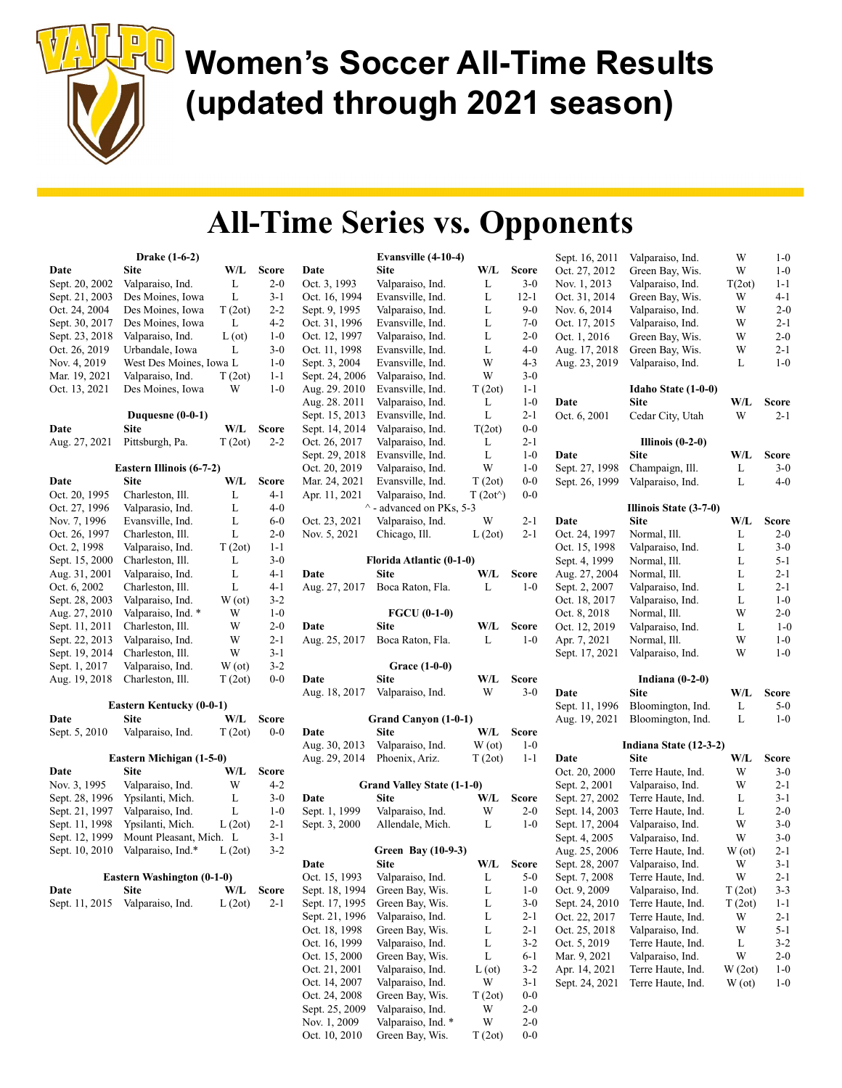

|                | Drake (1-6-2)                     |               |         |
|----------------|-----------------------------------|---------------|---------|
| Date           | Site                              | W/L           | Score   |
| Sept. 20, 2002 | Valparaiso, Ind.                  | L             | 2-0     |
| Sept. 21, 2003 | Des Moines, Iowa                  | L             | 3-1     |
| Oct. 24, 2004  | Des Moines, Iowa                  | T(2ot)        | $2 - 2$ |
| Sept. 30, 2017 | Des Moines, Iowa                  | L             | 4-2     |
| Sept. 23, 2018 | Valparaiso, Ind.                  | $L(\sigma t)$ | $1-0$   |
| Oct. 26, 2019  | Urbandale, Iowa                   | L             | $3-0$   |
| Nov. 4, 2019   | West Des Moines, Iowa L           |               | $1 - 0$ |
| Mar. 19, 2021  | Valparaiso, Ind.                  | T(2ot)        | 1-1     |
| Oct. 13, 2021  | Des Moines, Iowa                  | W             | 1-0     |
|                | Duquesne (0-0-1)                  |               |         |
| Date           | Site                              | W/L           | Score   |
| Aug. 27, 2021  | Pittsburgh, Pa.                   | T(2ot)        | 2-2     |
|                | Eastern Illinois (6-7-2)          |               |         |
| Date           | <b>Site</b>                       | W/L           | Score   |
| Oct. 20, 1995  | Charleston, Ill.                  | L             | 4-1     |
| Oct. 27, 1996  | Valparasio, Ind.                  | L             | 4-0     |
| Nov. 7, 1996   | Evansville, Ind.                  | L             | 6-0     |
| Oct. 26, 1997  | Charleston, Ill.                  | L             | $2 - 0$ |
| Oct. 2, 1998   | Valparaiso, Ind.                  | T(2ot)        | $1 - 1$ |
| Sept. 15, 2000 | Charleston, Ill.                  | L             | $3-0$   |
| Aug. 31, 2001  | Valparaiso, Ind.                  | L             | $4 - 1$ |
| Oct. 6, 2002   | Charleston, Ill.                  | L             | $4 - 1$ |
| Sept. 28, 2003 | Valparaiso, Ind.                  | W(ot)         | $3 - 2$ |
| Aug. 27, 2010  | Valparaiso, Ind. *                | W             | $1 - 0$ |
| Sept. 11, 2011 | Charleston, Ill.                  | W             | 2-0     |
| Sept. 22, 2013 | Valparaiso, Ind.                  | W             | $2 - 1$ |
| Sept. 19, 2014 | Charleston, Ill.                  | W             | $3 - 1$ |
| Sept. 1, 2017  | Valparaiso, Ind.                  | W(ot)         | $3-2$   |
| Aug. 19, 2018  | Charleston, Ill.                  | T(2ot)        | 0-0     |
|                | Eastern Kentucky (0-0-1)          |               |         |
| Date           | Site                              | W/L           | Score   |
| Sept. 5, 2010  | Valparaiso, Ind.                  | T(2ot)        | $0-0$   |
|                | Eastern Michigan (1-5-0)          |               |         |
| Date           | Site                              | W/L           | Score   |
| Nov. 3, 1995   | Valparaiso, Ind.                  | W             | $4 - 2$ |
| Sept. 28, 1996 | Ypsilanti, Mich.                  | L             | $3-0$   |
| Sept. 21, 1997 | Valparaiso, Ind.                  | L             | $1 - 0$ |
| Sept. 11, 1998 | Ypsilanti, Mich.                  | L(2ot)        | 2-1     |
| Sept. 12, 1999 | Mount Pleasant, Mich.             | L             | $3-1$   |
| Sept. 10, 2010 | Valparaiso, Ind.*                 | L(2ot)        | $3 - 2$ |
|                | <b>Eastern Washington (0-1-0)</b> |               |         |
| Date           | Site                              | W/L           | Score   |
| Sept. 11, 2015 | Valparaiso, Ind.                  | L(2ot)        | 2-1     |
|                |                                   |               |         |
|                |                                   |               |         |
|                |                                   |               |         |

|                                 | Evansville (4-10-4)                   |                   |                    |
|---------------------------------|---------------------------------------|-------------------|--------------------|
| Date                            | Site                                  | W/L               | Score              |
| Oct. 3, 1993                    | Valparaiso, Ind.                      | L                 | $3-0$              |
| Oct. 16, 1994                   | Evansville, Ind.                      | L                 | $12 - 1$           |
| Sept. 9, 1995                   | Valparaiso, Ind.                      | L                 | 9-0                |
| Oct. 31, 1996                   | Evansville, Ind.                      | L                 | $7-0$              |
| Oct. 12, 1997                   | Valparaiso, Ind.                      | L                 | $2 - 0$            |
| Oct. 11, 1998                   | Evansville, Ind.                      | L                 | $4 - 0$            |
| Sept. 3, 2004                   | Evansville, Ind.                      | W                 | 4-3                |
| Sept. 24, 2006                  | Valparaiso, Ind.                      | W                 | $3-0$              |
| Aug. 29. 2010                   | Evansville, Ind.                      | T(2ot)            | $1 - 1$            |
| Aug. 28. 2011                   | Valparaiso, Ind.                      | L                 | $1-0$              |
| Sept. 15, 2013                  | Evansville, Ind.                      | L                 | $2 - 1$            |
| Sept. 14, 2014                  | Valparaiso, Ind.                      | T(2ot)            | $0-0$              |
| Oct. 26, 2017                   | Valparaiso, Ind.<br>Evansville, Ind.  | L<br>L            | $2 - 1$<br>$1-0$   |
| Sept. 29, 2018<br>Oct. 20, 2019 |                                       | W                 | $1-0$              |
| Mar. 24, 2021                   | Valparaiso, Ind.<br>Evansville, Ind.  | T(2ot)            | $0-0$              |
| Apr. 11, 2021                   | Valparaiso, Ind.                      | $T(2ot^{\wedge})$ | $0-0$              |
|                                 | - advanced on PKs, 5-3                |                   |                    |
| Oct. 23, 2021                   | Valparaiso, Ind.                      | W                 | $2 - 1$            |
| Nov. 5, 2021                    | Chicago, Ill.                         | L(2ot)            | 2-1                |
|                                 |                                       |                   |                    |
|                                 | Florida Atlantic (0-1-0)              |                   |                    |
| Date                            | <b>Site</b>                           | W/L               | Score              |
| Aug. 27, 2017                   | Boca Raton, Fla.                      | L                 | 1-0                |
|                                 |                                       |                   |                    |
|                                 | FGCU (0-1-0)                          |                   |                    |
| Date                            | <b>Site</b>                           | W/L               | Score              |
| Aug. 25, 2017                   | Boca Raton, Fla.                      | L                 | 1-0                |
|                                 | Grace (1-0-0)                         |                   |                    |
| Date                            | Site                                  | W/L               | Score              |
| Aug. 18, 2017                   | Valparaiso, Ind.                      | W                 | 3-0                |
|                                 |                                       |                   |                    |
|                                 | Grand Canyon (1-0-1)                  |                   |                    |
| Date                            | Site                                  | W/L               | Score              |
| Aug. 30, 2013                   | Valparaiso, Ind.                      | W(ot)             | $1 - 0$            |
| Aug. 29, 2014                   | Phoenix, Ariz.                        | T(2ot)            | 1-1                |
|                                 |                                       |                   |                    |
|                                 | <b>Grand Valley State (1-1-0)</b>     |                   |                    |
| Date                            | Site                                  | W/L<br>W          | Score              |
| Sept. 1, 1999                   | Valparaiso, Ind.<br>Allendale, Mich.  | L                 | $2 - 0$<br>$1 - 0$ |
| Sept. 3, 2000                   |                                       |                   |                    |
|                                 | Green Bay (10-9-3)                    |                   |                    |
| Date                            | Site                                  | W/L               | Score              |
| Oct. 15, 1993                   | Valparaiso, Ind.                      | L                 | 5-0                |
| Sept. 18, 1994                  | Green Bay, Wis.                       | L                 | $1 - 0$            |
| Sept. 17, 1995                  | Green Bay, Wis.                       | L                 | $3-0$              |
| Sept. 21, 1996                  | Valparaiso, Ind.                      | L                 | 2-1                |
| Oct. 18, 1998                   | Green Bay, Wis.                       | L                 | $2-1$              |
| Oct. 16, 1999                   | Valparaiso, Ind.                      | L                 | 3-2                |
| Oct. 15, 2000                   | Green Bay, Wis.                       | L                 | 6-1                |
| Oct. 21, 2001                   | Valparaiso, Ind.                      | $L(\sigma t)$     | 3-2                |
| Oct. 14, 2007                   | Valparaiso, Ind.                      | W                 | 3-1                |
| Oct. 24, 2008                   |                                       |                   |                    |
|                                 | Green Bay, Wis.                       | T (2ot)           | $0-0$              |
| Sept. 25, 2009                  | Valparaiso, Ind.                      | W                 | $2 - 0$            |
| Nov. 1, 2009<br>Oct. 10, 2010   | Valparaiso, Ind. *<br>Green Bay, Wis. | W<br>T(2ot)       | $2-0$<br>$_{0-0}$  |

| Sept. 16, 2011 | Valparaiso, Ind.           | W      | 1-0     |
|----------------|----------------------------|--------|---------|
| Oct. 27, 2012  | Green Bay, Wis.            | W      | 1-0     |
| Nov. 1, 2013   | Valparaiso, Ind.           |        | 1-1     |
|                |                            | T(2ot) |         |
| Oct. 31, 2014  | Green Bay, Wis.            | W      | 4-1     |
| Nov. 6, 2014   | Valparaiso, Ind.           | W      | $2 - 0$ |
| Oct. 17, 2015  | Valparaiso, Ind.           | W      | $2 - 1$ |
| Oct. 1, 2016   | Green Bay, Wis.            | W      | $2 - 0$ |
| Aug. 17, 2018  | Green Bay, Wis.            | W      | 2-1     |
| Aug. 23, 2019  | Valparaiso, Ind.           | L      | 1-0     |
|                | <b>Idaho State (1-0-0)</b> |        |         |
| Date           | Site                       | W/L    | Score   |
| Oct. 6, 2001   | Cedar City, Utah           | W      | $2 - 1$ |
|                | <b>Illinois</b> (0-2-0)    |        |         |
| Date           | Site                       | W/L    | Score   |
| Sept. 27, 1998 | Champaign, Ill.            | L      | $3 - 0$ |
| Sept. 26, 1999 | Valparaiso, Ind.           | L      | $4 - 0$ |
|                |                            |        |         |
|                | Illinois State (3-7-0)     |        |         |
| Date           | Site                       | W/L    | Score   |
| Oct. 24, 1997  | Normal, Ill.               | L      | $2 - 0$ |
| Oct. 15, 1998  | Valparaiso, Ind.           | L      | 3-0     |
| Sept. 4, 1999  | Normal, Ill.               | L      | 5-1     |
| Aug. 27, 2004  | Normal, Ill.               | L      | $2 - 1$ |
| Sept. 2, 2007  | Valparaiso, Ind.           | L      | $2 - 1$ |
| Oct. 18, 2017  | Valparaiso, Ind.           | L      | $1-0$   |
| Oct. 8, 2018   | Normal, Ill.               | W      | $2 - 0$ |
| Oct. 12, 2019  | Valparaiso, Ind.           | L      | $1-0$   |
| Apr. 7, 2021   | Normal, Ill.               | W      | 1-0     |
| Sept. 17, 2021 | Valparaiso, Ind.           | W      | 1-0     |
|                |                            |        |         |
| Date           | Indiana (0-2-0)<br>Site    | W/L    | Score   |
|                |                            | L      | 5-0     |
| Sept. 11, 1996 | Bloomington, Ind.          |        |         |
| Aug. 19, 2021  | Bloomington, Ind.          | L      | $1 - 0$ |
|                | Indiana State (12-3-2)     |        |         |
| Date           | <b>Site</b>                | W/L    | Score   |
| Oct. 20, 2000  | Terre Haute, Ind.          | W      | $3-0$   |
| Sept. 2, 2001  | Valparaiso, Ind.           | W      | $2 - 1$ |
| Sept. 27, 2002 | Terre Haute, Ind.          | L      | $3 - 1$ |
| Sept. 14, 2003 | Terre Haute, Ind.          | L      | $2 - 0$ |
| Sept. 17, 2004 | Valparaiso, Ind.           | W      | $3-0$   |
| Sept. 4, 2005  | Valparaiso, Ind.           | W      | $3-0$   |
| Aug. 25, 2006  | Terre Haute, Ind.          | W (ot) | 2-1     |
| Sept. 28, 2007 | Valparaiso, Ind.           | W      | $3 - 1$ |
| Sept. 7, 2008  | Terre Haute, Ind.          | W      | $2 - 1$ |
| Oct. 9, 2009   | Valparaiso, Ind.           | T(2ot) | $3 - 3$ |
| Sept. 24, 2010 | Terre Haute, Ind.          | T(2ot) | $1 - 1$ |
| Oct. 22, 2017  | Terre Haute, Ind.          | W      | $2 - 1$ |
| Oct. 25, 2018  | Valparaiso, Ind.           | W      | 5-1     |
| Oct. 5, 2019   | Terre Haute, Ind.          | L      | 3-2     |
| Mar. 9, 2021   | Valparaiso, Ind.           | W      | $2 - 0$ |
| Apr. 14, 2021  | Terre Haute, Ind.          | W(2ot) | 1-0     |
| Sept. 24, 2021 | Terre Haute, Ind.          | W (ot) | $1 - 0$ |
|                |                            |        |         |
|                |                            |        |         |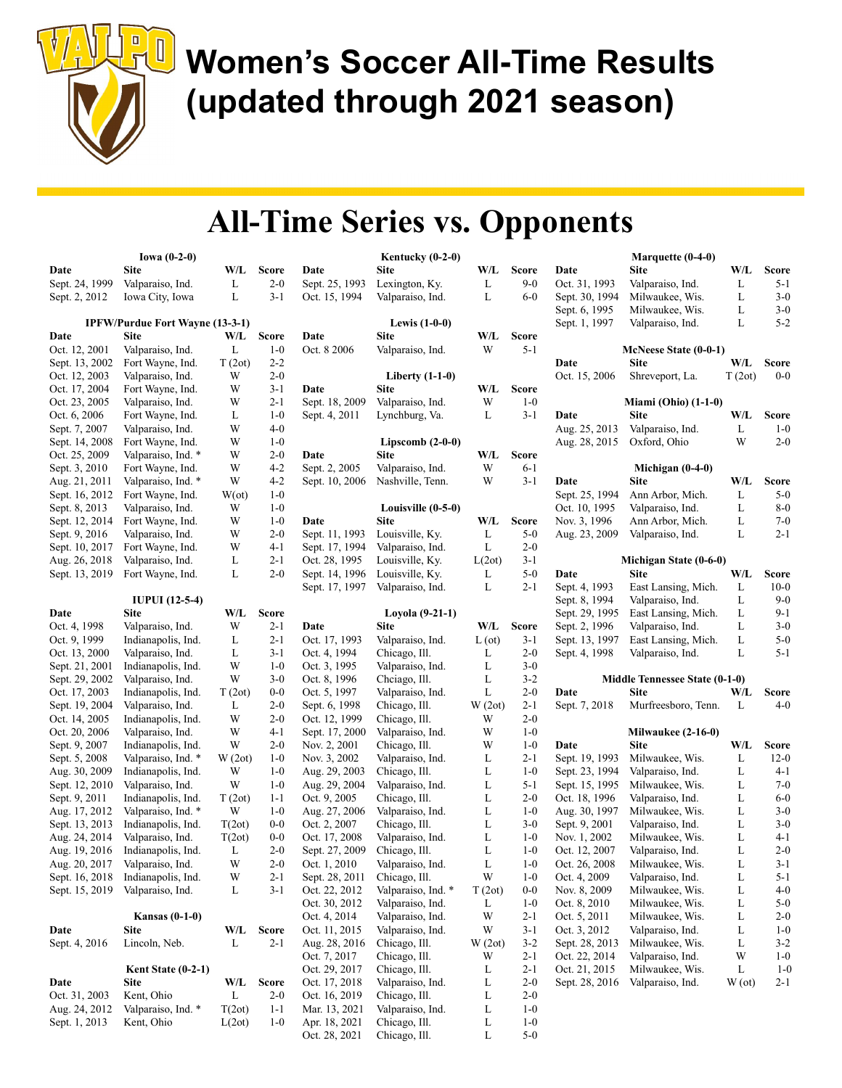

|                                 | Iowa $(0-2-0)$                         |               |                    |                                 | Kentucky $(0-2-0)$                 |               |                         |                | Marquette (0-4-0)                     |        |                    |
|---------------------------------|----------------------------------------|---------------|--------------------|---------------------------------|------------------------------------|---------------|-------------------------|----------------|---------------------------------------|--------|--------------------|
| Date                            | <b>Site</b>                            | W/L           | <b>Score</b>       | Date                            | <b>Site</b>                        | W/L           | <b>Score</b>            | Date           | <b>Site</b>                           | W/L    | <b>Score</b>       |
| Sept. 24, 1999                  | Valparaiso, Ind.                       | L             | $2 - 0$            | Sept. 25, 1993                  | Lexington, Ky.                     | L             | $9 - 0$                 | Oct. 31, 1993  | Valparaiso, Ind.                      | L      | 5-1                |
| Sept. 2, 2012                   | Iowa City, Iowa                        | L             | $3 - 1$            | Oct. 15, 1994                   | Valparaiso, Ind.                   | L             | $6-0$                   | Sept. 30, 1994 | Milwaukee, Wis.                       | L      | $3-0$              |
|                                 |                                        |               |                    |                                 |                                    |               |                         | Sept. 6, 1995  | Milwaukee, Wis.                       | L      | $3-0$              |
|                                 | <b>IPFW/Purdue Fort Wayne (13-3-1)</b> |               |                    |                                 | <b>Lewis</b> (1-0-0)               |               |                         | Sept. 1, 1997  | Valparaiso, Ind.                      | L      | $5 - 2$            |
| Date                            | <b>Site</b>                            | W/L           | <b>Score</b>       | Date                            | <b>Site</b>                        | W/L           | <b>Score</b>            |                |                                       |        |                    |
| Oct. 12, 2001                   | Valparaiso, Ind.                       | L             | $1 - 0$            | Oct. 8 2006                     | Valparaiso, Ind.                   | W             | $5 - 1$                 |                | McNeese State (0-0-1)                 |        |                    |
| Sept. 13, 2002                  | Fort Wayne, Ind.                       | T(2ot)        | $2 - 2$            |                                 |                                    |               |                         | Date           | <b>Site</b>                           | W/L    | <b>Score</b>       |
| Oct. 12, 2003                   | Valparaiso, Ind.                       | W             | $2 - 0$            |                                 | Liberty $(1-1-0)$                  |               |                         | Oct. 15, 2006  | Shreveport, La.                       | T(2ot) | $0-0$              |
| Oct. 17, 2004                   | Fort Wayne, Ind.                       | W             | $3 - 1$            | Date                            | <b>Site</b>                        | W/L           | <b>Score</b>            |                |                                       |        |                    |
| Oct. 23, 2005                   | Valparaiso, Ind.                       | W             | $2 - 1$            | Sept. 18, 2009                  | Valparaiso, Ind.                   | W             | $1-0$                   |                | Miami (Ohio) (1-1-0)                  |        |                    |
| Oct. 6, 2006                    | Fort Wayne, Ind.                       | L             | $1-0$              | Sept. 4, 2011                   | Lynchburg, Va.                     | L             | $3 - 1$                 | Date           | <b>Site</b>                           | W/L    | <b>Score</b>       |
| Sept. 7, 2007                   | Valparaiso, Ind.                       | W             | $4 - 0$            |                                 |                                    |               |                         | Aug. 25, 2013  | Valparaiso, Ind.                      | L      | $1 - 0$            |
| Sept. 14, 2008                  | Fort Wayne, Ind.                       | W             | $1-0$              |                                 | Lipscomb $(2-0-0)$                 |               |                         | Aug. 28, 2015  | Oxford, Ohio                          | W      | $2 - 0$            |
| Oct. 25, 2009                   | Valparaiso, Ind. *                     | W             | $2 - 0$            | Date                            | <b>Site</b>                        | W/L           | <b>Score</b>            |                |                                       |        |                    |
| Sept. 3, 2010                   | Fort Wayne, Ind.                       | W             | $4 - 2$            | Sept. 2, 2005                   | Valparaiso, Ind.                   | W             | $6 - 1$                 |                | Michigan $(0-4-0)$                    |        |                    |
| Aug. 21, 2011                   | Valparaiso, Ind. *                     | W             | $4 - 2$            | Sept. 10, 2006                  | Nashville, Tenn.                   | W             | $3 - 1$                 | Date           | <b>Site</b>                           | W/L    | ${\bf Score}$      |
| Sept. 16, 2012                  | Fort Wayne, Ind.                       | $W(\alpha t)$ | $1-0$              |                                 |                                    |               |                         | Sept. 25, 1994 | Ann Arbor, Mich.                      | L      | $5-0$              |
| Sept. 8, 2013                   | Valparaiso, Ind.                       | W             | $1-0$              |                                 | Louisville (0-5-0)                 |               |                         | Oct. 10, 1995  | Valparaiso, Ind.                      | L      | $8-0$              |
| Sept. 12, 2014                  | Fort Wayne, Ind.                       | W             | $1 - 0$<br>$2 - 0$ | Date                            | <b>Site</b><br>Louisville, Ky.     | W/L<br>L      | <b>Score</b><br>$5 - 0$ | Nov. 3, 1996   | Ann Arbor, Mich.                      | L<br>L | $7 - 0$<br>$2 - 1$ |
| Sept. 9, 2016                   | Valparaiso, Ind.                       | W             |                    | Sept. 11, 1993                  |                                    |               |                         | Aug. 23, 2009  | Valparaiso, Ind.                      |        |                    |
| Sept. 10, 2017<br>Aug. 26, 2018 | Fort Wayne, Ind.<br>Valparaiso, Ind.   | W<br>L        | $4-1$<br>$2 - 1$   | Sept. 17, 1994<br>Oct. 28, 1995 | Valparaiso, Ind.                   | L<br>L(2ot)   | $2 - 0$<br>$3-1$        |                |                                       |        |                    |
| Sept. 13, 2019                  | Fort Wayne, Ind.                       | L             | $2 - 0$            | Sept. 14, 1996                  | Louisville, Ky.<br>Louisville, Ky. | L             | $5-0$                   | Date           | Michigan State (0-6-0)<br><b>Site</b> | W/L    | <b>Score</b>       |
|                                 |                                        |               |                    | Sept. 17, 1997                  | Valparaiso, Ind.                   | L             | $2 - 1$                 | Sept. 4, 1993  | East Lansing, Mich.                   | L      | $10-0$             |
|                                 | <b>IUPUI</b> (12-5-4)                  |               |                    |                                 |                                    |               |                         | Sept. 8, 1994  | Valparaiso, Ind.                      | L      | $9 - 0$            |
| Date                            | <b>Site</b>                            | W/L           | <b>Score</b>       |                                 | Loyola (9-21-1)                    |               |                         | Sept. 29, 1995 | East Lansing, Mich.                   | L      | $9-1$              |
| Oct. 4, 1998                    | Valparaiso, Ind.                       | W             | $2 - 1$            | Date                            | <b>Site</b>                        | W/L           | <b>Score</b>            | Sept. 2, 1996  | Valparaiso, Ind.                      | L      | $3-0$              |
| Oct. 9, 1999                    | Indianapolis, Ind.                     | L             | $2 - 1$            | Oct. 17, 1993                   | Valparaiso, Ind.                   | $L(\sigma t)$ | $3 - 1$                 | Sept. 13, 1997 | East Lansing, Mich.                   | L      | $5-0$              |
| Oct. 13, 2000                   | Valparaiso, Ind.                       | L             | $3 - 1$            | Oct. 4, 1994                    | Chicago, Ill.                      | L             | $2 - 0$                 | Sept. 4, 1998  | Valparaiso, Ind.                      | L      | $5 - 1$            |
| Sept. 21, 2001                  | Indianapolis, Ind.                     | W             | $1 - 0$            | Oct. 3, 1995                    | Valparaiso, Ind.                   | L             | $3-0$                   |                |                                       |        |                    |
| Sept. 29, 2002                  | Valparaiso, Ind.                       | W             | $3-0$              | Oct. 8, 1996                    | Chciago, Ill.                      | L             | $3 - 2$                 |                | Middle Tennessee State (0-1-0)        |        |                    |
| Oct. 17, 2003                   | Indianapolis, Ind.                     | T(2ot)        | $0-0$              | Oct. 5, 1997                    | Valparaiso, Ind.                   | L             | $2 - 0$                 | Date           | <b>Site</b>                           | W/L    | <b>Score</b>       |
| Sept. 19, 2004                  | Valparaiso, Ind.                       | L             | $2 - 0$            | Sept. 6, 1998                   | Chicago, Ill.                      | W(2ot)        | $2 - 1$                 | Sept. 7, 2018  | Murfreesboro, Tenn.                   | L      | $4 - 0$            |
| Oct. 14, 2005                   | Indianapolis, Ind.                     | W             | $2 - 0$            | Oct. 12, 1999                   | Chicago, Ill.                      | W             | $2 - 0$                 |                |                                       |        |                    |
| Oct. 20, 2006                   | Valparaiso, Ind.                       | W             | $4-1$              | Sept. 17, 2000                  | Valparaiso, Ind.                   | W             | $1-0$                   |                | <b>Milwaukee (2-16-0)</b>             |        |                    |
| Sept. 9, 2007                   | Indianapolis, Ind.                     | W             | $2 - 0$            | Nov. 2, 2001                    | Chicago, Ill.                      | W             | $1-0$                   | Date           | <b>Site</b>                           | W/L    | ${\bf Score}$      |
| Sept. 5, 2008                   | Valparaiso, Ind. *                     | W(2ot)        | $1 - 0$            | Nov. 3, 2002                    | Valparaiso, Ind.                   | L             | $2 - 1$                 | Sept. 19, 1993 | Milwaukee, Wis.                       | L      | $12-0$             |
| Aug. 30, 2009                   | Indianapolis, Ind.                     | W             | $1 - 0$            | Aug. 29, 2003                   | Chicago, Ill.                      | L             | $1-0$                   | Sept. 23, 1994 | Valparaiso, Ind.                      | L      | 4-1                |
| Sept. 12, 2010                  | Valparaiso, Ind.                       | W             | $1 - 0$            | Aug. 29, 2004                   | Valparaiso, Ind.                   | L             | $5 - 1$                 | Sept. 15, 1995 | Milwaukee, Wis.                       | L      | $7-0$              |
| Sept. 9, 2011                   | Indianapolis, Ind.                     | T(2ot)        | $1 - 1$            | Oct. 9, 2005                    | Chicago, Ill.                      | L             | $2 - 0$                 | Oct. 18, 1996  | Valparaiso, Ind.                      | L      | $6-0$              |
| Aug. 17, 2012                   | Valparaiso, Ind. *                     | W             | $1 - 0$            | Aug. 27, 2006                   | Valparaiso, Ind.                   | L             | $1 - 0$                 | Aug. 30, 1997  | Milwaukee, Wis.                       | L      | $3-0$              |
| Sept. 13, 2013                  | Indianapolis, Ind.                     | T(2ot)        | $0-0$              | Oct. 2, 2007                    | Chicago, Ill.                      | L             | $3-0$                   | Sept. 9, 2001  | Valparaiso, Ind.                      | L      | $3-0$              |
| Aug. 24, 2014                   | Valparaiso, Ind.                       | T(2ot)        | $0-0$              | Oct. 17, 2008                   | Valparaiso, Ind.                   | L             | $1-0$                   | Nov. 1, 2002   | Milwaukee, Wis.                       | L      | 4-1                |
| Aug. 19, 2016                   | Indianapolis, Ind.                     | L             | $2 - 0$            | Sept. 27, 2009                  | Chicago, Ill.                      | L             | $1-0$                   | Oct. 12, 2007  | Valparaiso, Ind.                      | L      | $2 - 0$            |
| Aug. 20, 2017                   | Valparaiso, Ind.                       | W             | $2 - 0$            | Oct. 1, 2010                    | Valparaiso, Ind.                   | L             | $1-0$                   | Oct. 26, 2008  | Milwaukee, Wis.                       | L      | $3 - 1$            |
| Sept. 16, 2018                  | Indianapolis, Ind.                     | W             | $2 - 1$            | Sept. 28, 2011                  | Chicago, Ill.                      | W             | $1-0$                   | Oct. 4, 2009   | Valparaiso, Ind.                      | L      | $5 - 1$            |
| Sept. 15, 2019                  | Valparaiso, Ind.                       | L             | $3 - 1$            | Oct. 22, 2012                   | Valparaiso, Ind. *                 | T(2ot)        | $0-0$                   | Nov. 8, 2009   | Milwaukee, Wis.                       | L      | $4 - 0$            |
|                                 |                                        |               |                    | Oct. 30, 2012                   | Valparaiso, Ind.                   | L             | $1-0$                   | Oct. 8, 2010   | Milwaukee, Wis.                       | L      | $5-0$              |
|                                 | <b>Kansas (0-1-0)</b>                  |               |                    | Oct. 4, 2014                    | Valparaiso, Ind.                   | W             | $2 - 1$                 | Oct. 5, 2011   | Milwaukee, Wis.                       | L      | $2 - 0$            |
| Date                            | <b>Site</b>                            | W/L           | <b>Score</b>       | Oct. 11, 2015                   | Valparaiso, Ind.                   | W             | $3 - 1$                 | Oct. 3, 2012   | Valparaiso, Ind.                      | L      | $1 - 0$            |
| Sept. 4, 2016                   | Lincoln, Neb.                          | L             | $2 - 1$            | Aug. 28, 2016                   | Chicago, Ill.                      | W(2ot)        | $3 - 2$                 | Sept. 28, 2013 | Milwaukee, Wis.                       | L      | $3 - 2$            |
|                                 |                                        |               |                    | Oct. 7, 2017                    | Chicago, Ill.                      | W             | $2 - 1$                 | Oct. 22, 2014  | Valparaiso, Ind.                      | W      | $1-0$              |
|                                 | Kent State $(0-2-1)$                   |               |                    | Oct. 29, 2017                   | Chicago, Ill.                      | L             | $2 - 1$                 | Oct. 21, 2015  | Milwaukee, Wis.                       | L      | $1-0$              |
| Date                            | Site                                   | W/L           | <b>Score</b>       | Oct. 17, 2018                   | Valparaiso, Ind.                   | L             | $2 - 0$                 | Sept. 28, 2016 | Valparaiso, Ind.                      | W(ot)  | $2 - 1$            |
| Oct. 31, 2003                   | Kent, Ohio                             | L             | $2 - 0$            | Oct. 16, 2019                   | Chicago, Ill.                      | L             | $2 - 0$                 |                |                                       |        |                    |
| Aug. 24, 2012                   | Valparaiso, Ind. *<br>Kent, Ohio       | T(2ot)        | $1 - 1$            | Mar. 13, 2021<br>Apr. 18, 2021  | Valparaiso, Ind.<br>Chicago, Ill.  | L             | $1-0$<br>$1-0$          |                |                                       |        |                    |
| Sept. 1, 2013                   |                                        | L(2ot)        | $1 - 0$            | Oct. 28, 2021                   | Chicago, Ill.                      | L<br>L        | $5-0$                   |                |                                       |        |                    |
|                                 |                                        |               |                    |                                 |                                    |               |                         |                |                                       |        |                    |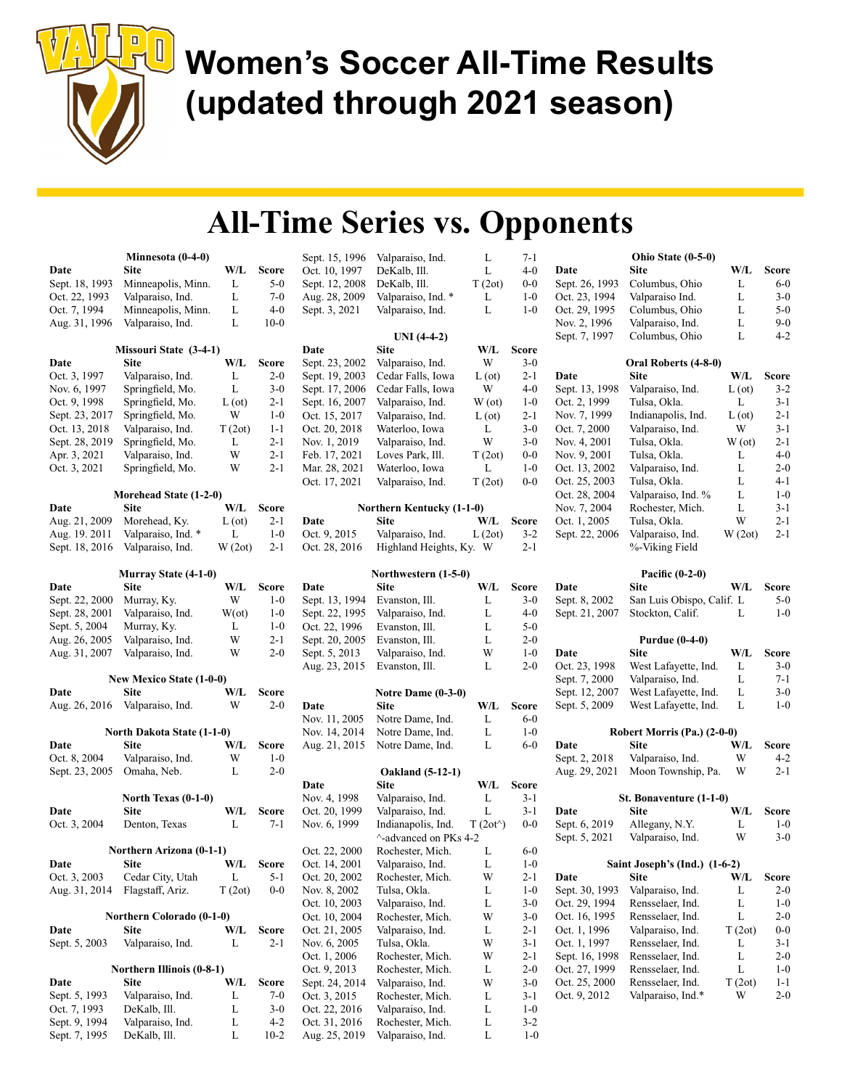

|                | Minnesota (0-4-0)               |               |                  | Sept. 15, 1996 | Valparaiso, Ind.          | L                 | 7-1                |                | Ohio State (0-5-0)            |               |              |
|----------------|---------------------------------|---------------|------------------|----------------|---------------------------|-------------------|--------------------|----------------|-------------------------------|---------------|--------------|
| Date           | <b>Site</b>                     | W/L           | <b>Score</b>     | Oct. 10, 1997  | DeKalb, Ill.              | L                 | $4 - 0$            | Date           | <b>Site</b>                   | W/L           | <b>Score</b> |
| Sept. 18, 1993 | Minneapolis, Minn.              | L             | $5 - 0$          | Sept. 12, 2008 | DeKalb, Ill.              | T(2ot)            | $0-0$              | Sept. 26, 1993 | Columbus, Ohio                | L             | $6-0$        |
| Oct. 22, 1993  | Valparaiso, Ind.                | L             | $7-0$            | Aug. 28, 2009  | Valparaiso, Ind. *        | L                 | $1-0$              | Oct. 23, 1994  | Valparaiso Ind.               | L             | $3-0$        |
| Oct. 7, 1994   | Minneapolis, Minn.              | L             | $4 - 0$          | Sept. 3, 2021  | Valparaiso, Ind.          | L                 | $1 - 0$            | Oct. 29, 1995  | Columbus, Ohio                | L             | $5 - 0$      |
| Aug. 31, 1996  | Valparaiso, Ind.                | L             | $10-0$           |                |                           |                   |                    | Nov. 2, 1996   | Valparaiso, Ind.              | L             | $9 - 0$      |
|                |                                 |               |                  |                | $UNI$ (4-4-2)             |                   |                    | Sept. 7, 1997  | Columbus, Ohio                | L             | $4 - 2$      |
|                | Missouri State (3-4-1)          |               |                  | Date           | <b>Site</b>               | W/L               | <b>Score</b>       |                |                               |               |              |
| Date           | Site                            | W/L           | Score            | Sept. 23, 2002 | Valparaiso, Ind.          | W                 | $3-0$              |                | Oral Roberts (4-8-0)          |               |              |
| Oct. 3, 1997   | Valparaiso, Ind.                | L             | $2 - 0$          | Sept. 19, 2003 | Cedar Falls, Iowa         | $L(\sigma t)$     | $2 - 1$            | Date           | <b>Site</b>                   | W/L           | <b>Score</b> |
| Nov. 6, 1997   | Springfield, Mo.                | L             | $3-0$            | Sept. 17, 2006 | Cedar Falls, Iowa         | W                 | $4 - 0$            | Sept. 13, 1998 | Valparaiso, Ind.              | $L(\sigma t)$ | $3 - 2$      |
| Oct. 9, 1998   | Springfield, Mo.                | $L(\sigma t)$ | $2 - 1$          | Sept. 16, 2007 | Valparaiso, Ind.          | W(ot)             | $1 - 0$            | Oct. 2, 1999   | Tulsa, Okla.                  | L             | $3-1$        |
| Sept. 23, 2017 | Springfield, Mo.                | W             | $1 - 0$          | Oct. 15, 2017  | Valparaiso, Ind.          | $L(\sigma t)$     | $2 - 1$            | Nov. 7, 1999   | Indianapolis, Ind.            | $L(\sigma t)$ | $2 - 1$      |
| Oct. 13, 2018  | Valparaiso, Ind.                | T(2ot)        | $1 - 1$          | Oct. 20, 2018  | Waterloo, Iowa            | L                 | $3-0$              | Oct. 7, 2000   | Valparaiso, Ind.              | W             | $3 - 1$      |
| Sept. 28, 2019 | Springfield, Mo.                | L             | $2 - 1$          | Nov. 1, 2019   | Valparaiso, Ind.          | W                 | $3-0$              | Nov. 4, 2001   | Tulsa, Okla.                  | W(ot)         | $2 - 1$      |
| Apr. 3, 2021   | Valparaiso, Ind.                | W             | $2 - 1$          | Feb. 17, 2021  | Loves Park, Ill.          | T(2ot)            | $0-0$              | Nov. 9, 2001   | Tulsa, Okla.                  | L             | $4-0$        |
| Oct. 3, 2021   | Springfield, Mo.                | W             | $2 - 1$          | Mar. 28, 2021  | Waterloo, Iowa            | L                 | $1-0$              | Oct. 13, 2002  | Valparaiso, Ind.              | L             | $2 - 0$      |
|                |                                 |               |                  | Oct. 17, 2021  | Valparaiso, Ind.          | T(2ot)            | $0-0$              | Oct. 25, 2003  | Tulsa, Okla.                  | L             | $4 - 1$      |
|                | Morehead State (1-2-0)          |               |                  |                |                           |                   |                    | Oct. 28, 2004  | Valparaiso, Ind. %            | L             | $1-0$        |
| Date           | Site                            | W/L           | <b>Score</b>     |                | Northern Kentucky (1-1-0) |                   |                    | Nov. 7, 2004   | Rochester, Mich.              | L             | $3 - 1$      |
| Aug. 21, 2009  | Morehead, Ky.                   | L (ot)        | $2 - 1$          | Date           | <b>Site</b>               | W/L               | <b>Score</b>       | Oct. 1, 2005   | Tulsa, Okla.                  | W             | $2 - 1$      |
|                | Valparaiso, Ind. *              | L             | $1-0$            | Oct. 9, 2015   | Valparaiso, Ind.          | L(2ot)            | $3 - 2$            | Sept. 22, 2006 | Valparaiso, Ind.              | W(2ot)        | $2 - 1$      |
| Aug. 19. 2011  |                                 |               | $2 - 1$          |                |                           |                   | $2 - 1$            |                |                               |               |              |
| Sept. 18, 2016 | Valparaiso, Ind.                | W(2ot)        |                  | Oct. 28, 2016  | Highland Heights, Ky. W   |                   |                    |                | %-Viking Field                |               |              |
|                |                                 |               |                  |                |                           |                   |                    |                |                               |               |              |
|                | <b>Murray State (4-1-0)</b>     |               |                  |                | Northwestern (1-5-0)      |                   |                    |                | Pacific $(0-2-0)$             |               |              |
| Date           | <b>Site</b>                     | W/L           | <b>Score</b>     | Date           | Site                      | W/L               | <b>Score</b>       | Date           | <b>Site</b>                   | W/L           | <b>Score</b> |
| Sept. 22, 2000 | Murray, Ky.                     | W             | $1 - 0$          | Sept. 13, 1994 | Evanston, Ill.            | L                 | $3-0$              | Sept. 8, 2002  | San Luis Obispo, Calif. L     |               | $5-0$        |
| Sept. 28, 2001 | Valparaiso, Ind.                | $W(\alpha t)$ | $1 - 0$          | Sept. 22, 1995 | Valparaiso, Ind.          | L                 | $4 - 0$            | Sept. 21, 2007 | Stockton, Calif.              | L             | $1 - 0$      |
| Sept. 5, 2004  | Murray, Ky.                     | L             | $1 - 0$          | Oct. 22, 1996  | Evanston, Ill.            | L                 | $5-0$              |                |                               |               |              |
| Aug. 26, 2005  | Valparaiso, Ind.                | W             | $2 - 1$          | Sept. 20, 2005 | Evanston, Ill.            | L                 | $2-0$              |                | <b>Purdue (0-4-0)</b>         |               |              |
| Aug. 31, 2007  | Valparaiso, Ind.                | W             | $2 - 0$          | Sept. 5, 2013  | Valparaiso, Ind.          | W                 | $1-0$              | Date           | <b>Site</b>                   | W/L           | <b>Score</b> |
|                |                                 |               |                  | Aug. 23, 2015  | Evanston, Ill.            | L                 | $2 - 0$            | Oct. 23, 1998  | West Lafayette, Ind.          | L             | $3-0$        |
|                | New Mexico State (1-0-0)        |               |                  |                |                           |                   |                    | Sept. 7, 2000  | Valparaiso, Ind.              | L             | $7 - 1$      |
| Date           | Site                            | W/L           | <b>Score</b>     |                | Notre Dame $(0-3-0)$      |                   |                    | Sept. 12, 2007 | West Lafayette, Ind.          | L             | $3-0$        |
| Aug. 26, 2016  | Valparaiso, Ind.                | W             | $2 - 0$          | Date           | <b>Site</b>               | W/L               | <b>Score</b>       | Sept. 5, 2009  | West Lafayette, Ind.          | L             | $1 - 0$      |
|                |                                 |               |                  | Nov. 11, 2005  | Notre Dame, Ind.          | L                 | $6-0$              |                |                               |               |              |
|                | North Dakota State (1-1-0)      |               |                  | Nov. 14, 2014  | Notre Dame, Ind.          | L                 | $1-0$              |                | Robert Morris (Pa.) (2-0-0)   |               |              |
| Date           | <b>Site</b>                     | W/L           | <b>Score</b>     | Aug. 21, 2015  | Notre Dame, Ind.          | L                 | $6-0$              | Date           | <b>Site</b>                   | W/L           | <b>Score</b> |
| Oct. 8, 2004   | Valparaiso, Ind.                | W             | $1 - 0$          |                |                           |                   |                    | Sept. 2, 2018  | Valparaiso, Ind.              | W             | $4 - 2$      |
| Sept. 23, 2005 | Omaha, Neb.                     | L             | $2 - 0$          |                | <b>Oakland</b> (5-12-1)   |                   |                    | Aug. 29, 2021  | Moon Township, Pa.            | W             | $2 - 1$      |
|                |                                 |               |                  | Date           | <b>Site</b>               | W/L               | <b>Score</b>       |                |                               |               |              |
|                | North Texas (0-1-0)             |               |                  | Nov. 4, 1998   | Valparaiso, Ind.          | L                 | $3-1$              |                | St. Bonaventure (1-1-0)       |               |              |
| Date           | <b>Site</b>                     | W/L           | <b>Score</b>     | Oct. 20, 1999  | Valparaiso, Ind.          | L                 | $3-1$              | Date           | <b>Site</b>                   | W/L           | <b>Score</b> |
| Oct. 3, 2004   | Denton, Texas                   | L             | $7 - 1$          | Nov. 6, 1999   | Indianapolis, Ind.        | $T(2ot^{\wedge})$ | $0-0$              | Sept. 6, 2019  | Allegany, N.Y.                | L             | $1 - 0$      |
|                |                                 |               |                  |                | ^-advanced on PKs 4-2     |                   |                    | Sept. 5, 2021  | Valparaiso, Ind.              | W             | $3 - 0$      |
|                | <b>Northern Arizona (0-1-1)</b> |               |                  | Oct. 22, 2000  | Rochester, Mich.          | L                 | $6-0$              |                |                               |               |              |
| Date           | Site                            | W/L           | <b>Score</b>     | Oct. 14, 2001  | Valparaiso, Ind.          | L                 | $1-0$              |                | Saint Joseph's (Ind.) (1-6-2) |               |              |
| Oct. 3, 2003   | Cedar City, Utah                | L             | $5 - 1$          | Oct. 20, 2002  | Rochester, Mich.          | W                 | 2-1                | Date           | <b>Site</b>                   | W/L           | <b>Score</b> |
| Aug. 31, 2014  | Flagstaff, Ariz.                | T(2ot)        | $0-0$            | Nov. 8, 2002   | Tulsa, Okla.              | L                 | $1-0$              | Sept. 30, 1993 | Valparaiso, Ind.              | L             | $2 - 0$      |
|                |                                 |               |                  | Oct. 10, 2003  | Valparaiso, Ind.          | $\mathbf L$       | $3-0$              | Oct. 29, 1994  | Rensselaer, Ind.              | L             | $1-0$        |
|                | Northern Colorado (0-1-0)       |               |                  | Oct. 10, 2004  | Rochester, Mich.          | W                 | $3-0$              | Oct. 16, 1995  | Rensselaer, Ind.              | L             | $2 - 0$      |
|                |                                 |               |                  |                | Valparaiso, Ind.          |                   |                    |                |                               |               | $0-0$        |
| Date           | Site                            | W/L           | Score<br>$2 - 1$ | Oct. 21, 2005  | Tulsa, Okla.              | L<br>W            | $2 - 1$<br>$3 - 1$ | Oct. 1, 1996   | Valparaiso, Ind.              | T(2ot)<br>L   | $3 - 1$      |
| Sept. 5, 2003  | Valparaiso, Ind.                | L             |                  | Nov. 6, 2005   |                           |                   |                    | Oct. 1, 1997   | Rensselaer, Ind.              |               |              |
|                |                                 |               |                  | Oct. 1, 2006   | Rochester, Mich.          | W                 | $2 - 1$            | Sept. 16, 1998 | Rensselaer, Ind.              | L             | $2 - 0$      |
|                | Northern Illinois (0-8-1)       |               |                  | Oct. 9, 2013   | Rochester, Mich.          | L                 | $2 - 0$            | Oct. 27, 1999  | Rensselaer, Ind.              | L             | $1-0$        |
| Date           | Site                            | W/L           | <b>Score</b>     | Sept. 24, 2014 | Valparaiso, Ind.          | W                 | $3-0$              | Oct. 25, 2000  | Rensselaer, Ind.              | T(2ot)        | $1 - 1$      |
| Sept. 5, 1993  | Valparaiso, Ind.                | L             | $7-0$            | Oct. 3, 2015   | Rochester, Mich.          | L                 | $3-1$              | Oct. 9, 2012   | Valparaiso, Ind.*             | W             | $2 - 0$      |
| Oct. 7, 1993   | DeKalb, Ill.                    | L             | $3-0$            | Oct. 22, 2016  | Valparaiso, Ind.          | L                 | $1-0$              |                |                               |               |              |
| Sept. 9, 1994  | Valparaiso, Ind.                | L             | $4 - 2$          | Oct. 31, 2016  | Rochester, Mich.          | L                 | $3 - 2$            |                |                               |               |              |
| Sept. 7, 1995  | DeKalb, Ill.                    | L             | $10-2$           | Aug. 25, 2019  | Valparaiso, Ind.          | L                 | $1-0$              |                |                               |               |              |